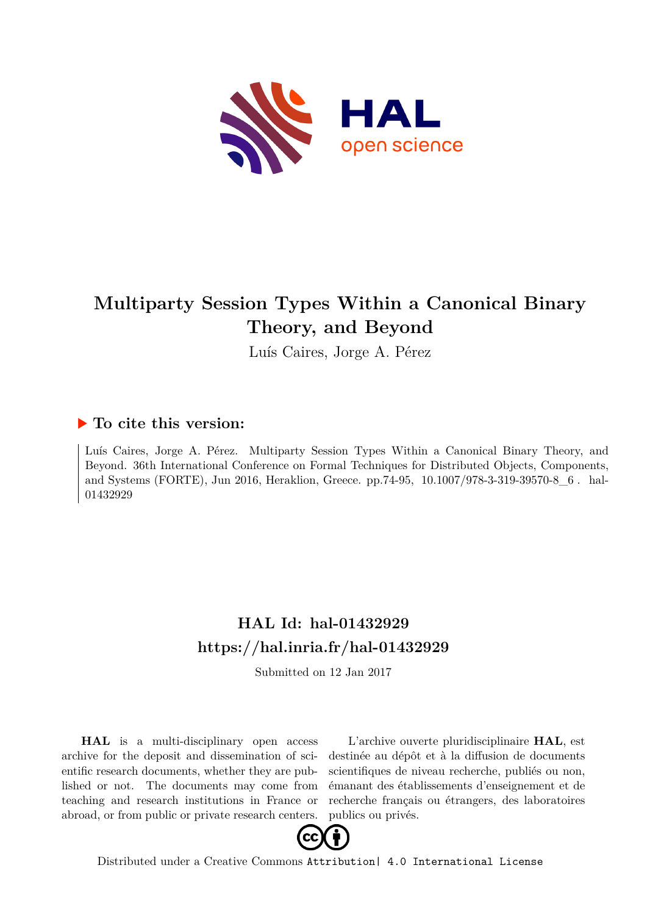

# **Multiparty Session Types Within a Canonical Binary Theory, and Beyond**

Luís Caires, Jorge A. Pérez

# **To cite this version:**

Luís Caires, Jorge A. Pérez. Multiparty Session Types Within a Canonical Binary Theory, and Beyond. 36th International Conference on Formal Techniques for Distributed Objects, Components, and Systems (FORTE), Jun 2016, Heraklion, Greece. pp.74-95, 10.1007/978-3-319-39570-8\_6. hal-01432929ff

# **HAL Id: hal-01432929 <https://hal.inria.fr/hal-01432929>**

Submitted on 12 Jan 2017

**HAL** is a multi-disciplinary open access archive for the deposit and dissemination of scientific research documents, whether they are published or not. The documents may come from teaching and research institutions in France or abroad, or from public or private research centers.

L'archive ouverte pluridisciplinaire **HAL**, est destinée au dépôt et à la diffusion de documents scientifiques de niveau recherche, publiés ou non, émanant des établissements d'enseignement et de recherche français ou étrangers, des laboratoires publics ou privés.



Distributed under a Creative Commons [Attribution| 4.0 International License](http://creativecommons.org/licenses/by/4.0/)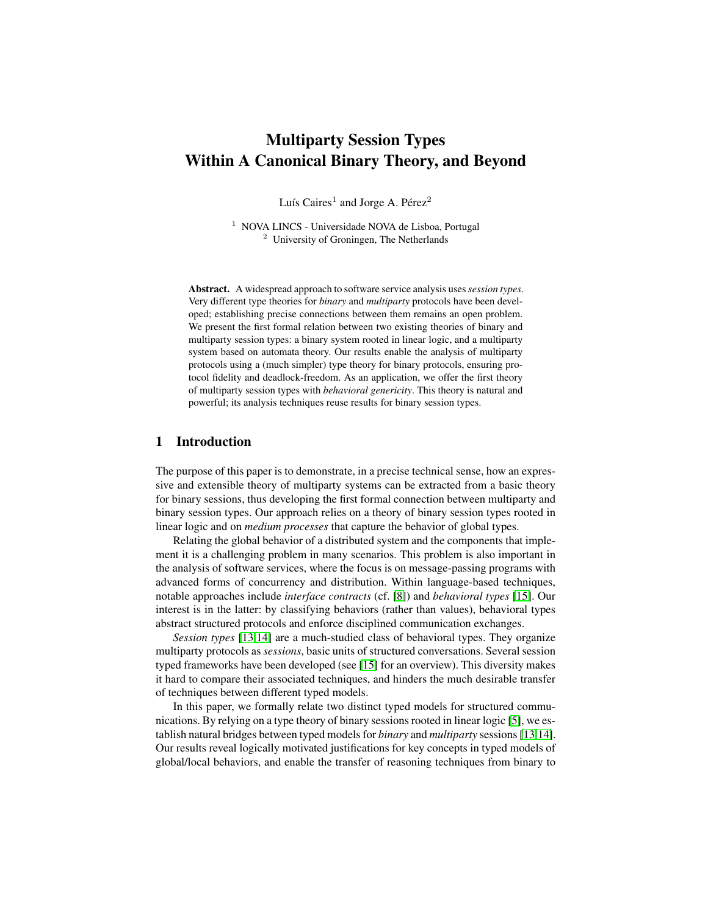# Multiparty Session Types Within A Canonical Binary Theory, and Beyond

Luís Caires<sup>1</sup> and Jorge A. Pérez<sup>2</sup>

<sup>1</sup> NOVA LINCS - Universidade NOVA de Lisboa, Portugal <sup>2</sup> University of Groningen, The Netherlands

Abstract. A widespread approach to software service analysis uses*session types*. Very different type theories for *binary* and *multiparty* protocols have been developed; establishing precise connections between them remains an open problem. We present the first formal relation between two existing theories of binary and multiparty session types: a binary system rooted in linear logic, and a multiparty system based on automata theory. Our results enable the analysis of multiparty protocols using a (much simpler) type theory for binary protocols, ensuring protocol fidelity and deadlock-freedom. As an application, we offer the first theory of multiparty session types with *behavioral genericity*. This theory is natural and powerful; its analysis techniques reuse results for binary session types.

# 1 Introduction

The purpose of this paper is to demonstrate, in a precise technical sense, how an expressive and extensible theory of multiparty systems can be extracted from a basic theory for binary sessions, thus developing the first formal connection between multiparty and binary session types. Our approach relies on a theory of binary session types rooted in linear logic and on *medium processes* that capture the behavior of global types.

Relating the global behavior of a distributed system and the components that implement it is a challenging problem in many scenarios. This problem is also important in the analysis of software services, where the focus is on message-passing programs with advanced forms of concurrency and distribution. Within language-based techniques, notable approaches include *interface contracts* (cf. [8]) and *behavioral types* [15]. Our interest is in the latter: by classifying behaviors (rather than values), behavioral types abstract structured protocols and enforce disciplined communication exchanges.

*Session types* [13,14] are a much-studied class of behavioral types. They organize multiparty protocols as *sessions*, basic units of structured conversations. Several session typed frameworks have been developed (see [15] for an overview). This diversity makes it hard to compare their associated techniques, and hinders the much desirable transfer of techniques between different typed models.

In this paper, we formally relate two distinct typed models for structured communications. By relying on a type theory of binary sessions rooted in linear logic [5], we establish natural bridges between typed models for *binary* and *multiparty* sessions [13,14]. Our results reveal logically motivated justifications for key concepts in typed models of global/local behaviors, and enable the transfer of reasoning techniques from binary to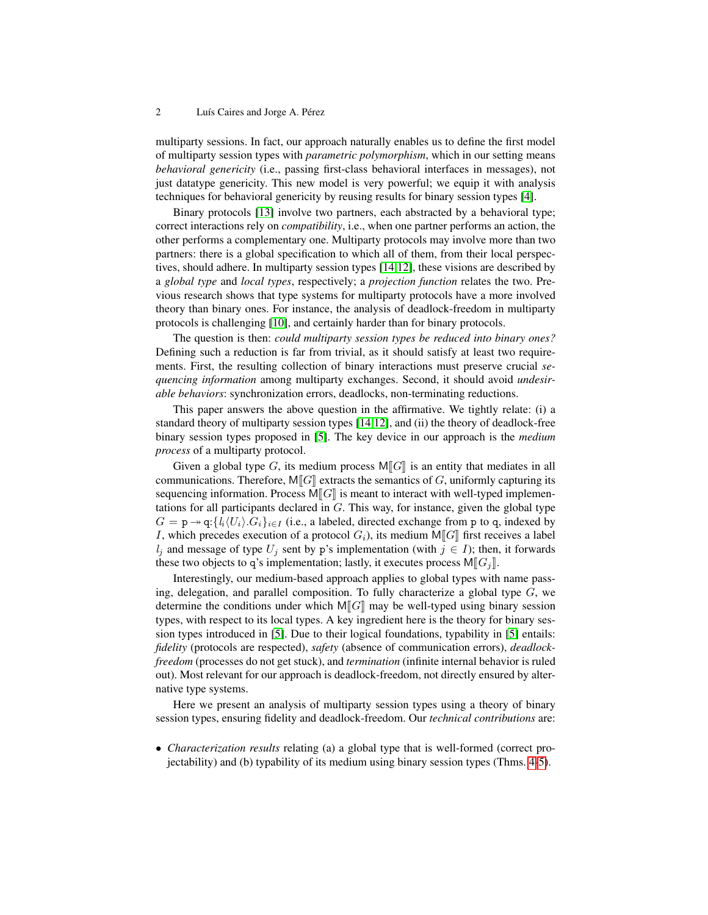multiparty sessions. In fact, our approach naturally enables us to define the first model of multiparty session types with *parametric polymorphism*, which in our setting means *behavioral genericity* (i.e., passing first-class behavioral interfaces in messages), not just datatype genericity. This new model is very powerful; we equip it with analysis techniques for behavioral genericity by reusing results for binary session types [4].

Binary protocols [13] involve two partners, each abstracted by a behavioral type; correct interactions rely on *compatibility*, i.e., when one partner performs an action, the other performs a complementary one. Multiparty protocols may involve more than two partners: there is a global specification to which all of them, from their local perspectives, should adhere. In multiparty session types [14,12], these visions are described by a *global type* and *local types*, respectively; a *projection function* relates the two. Previous research shows that type systems for multiparty protocols have a more involved theory than binary ones. For instance, the analysis of deadlock-freedom in multiparty protocols is challenging [10], and certainly harder than for binary protocols.

The question is then: *could multiparty session types be reduced into binary ones?* Defining such a reduction is far from trivial, as it should satisfy at least two requirements. First, the resulting collection of binary interactions must preserve crucial *sequencing information* among multiparty exchanges. Second, it should avoid *undesirable behaviors*: synchronization errors, deadlocks, non-terminating reductions.

This paper answers the above question in the affirmative. We tightly relate: (i) a standard theory of multiparty session types [14,12], and (ii) the theory of deadlock-free binary session types proposed in [5]. The key device in our approach is the *medium process* of a multiparty protocol.

Given a global type G, its medium process  $M[[G]]$  is an entity that mediates in all communications. Therefore,  $M[[G]]$  extracts the semantics of  $G$ , uniformly capturing its sequencing information. Process  $M[[G]]$  is meant to interact with well-typed implementations for all participants declared in  $G$ . This way, for instance, given the global type  $G = \mathsf{p} \rightarrow \mathsf{q}: \{l_i\langle U_i \rangle, G_i\}_{i \in I}$  (i.e., a labeled, directed exchange from p to q, indexed by I, which precedes execution of a protocol  $G_i$ ), its medium M[G] first receives a label  $l_j$  and message of type  $U_j$  sent by p's implementation (with  $j \in I$ ); then, it forwards these two objects to q's implementation; lastly, it executes process  $M[[G_j]]$ .

Interestingly, our medium-based approach applies to global types with name passing, delegation, and parallel composition. To fully characterize a global type  $G$ , we determine the conditions under which  $M||G||$  may be well-typed using binary session types, with respect to its local types. A key ingredient here is the theory for binary session types introduced in [5]. Due to their logical foundations, typability in [5] entails: *fidelity* (protocols are respected), *safety* (absence of communication errors), *deadlockfreedom* (processes do not get stuck), and *termination* (infinite internal behavior is ruled out). Most relevant for our approach is deadlock-freedom, not directly ensured by alternative type systems.

Here we present an analysis of multiparty session types using a theory of binary session types, ensuring fidelity and deadlock-freedom. Our *technical contributions* are:

• *Characterization results* relating (a) a global type that is well-formed (correct projectability) and (b) typability of its medium using binary session types (Thms. 4-5).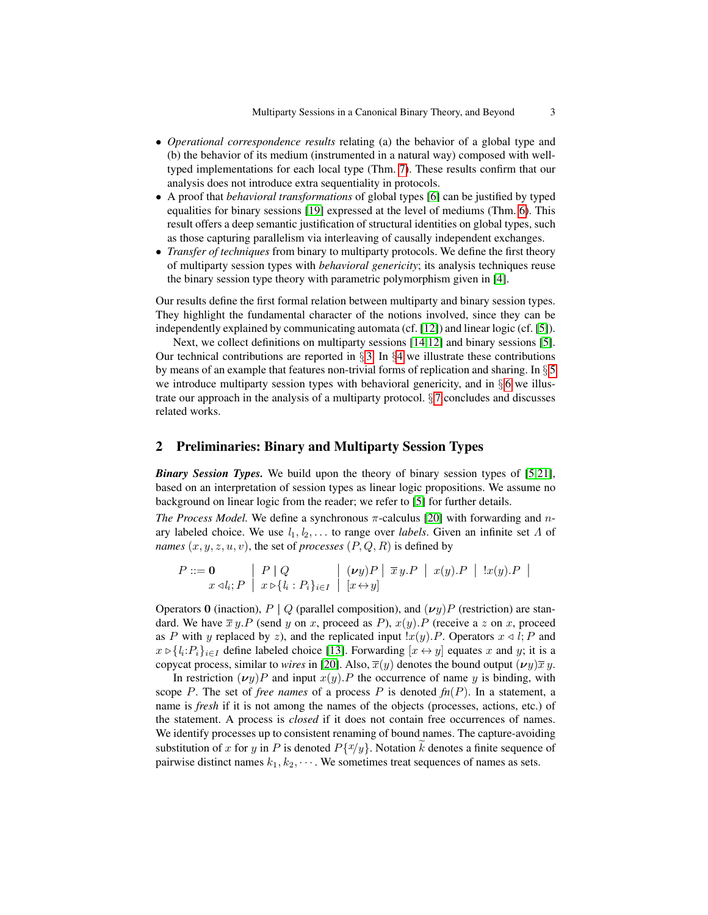- *Operational correspondence results* relating (a) the behavior of a global type and (b) the behavior of its medium (instrumented in a natural way) composed with welltyped implementations for each local type (Thm. 7). These results confirm that our analysis does not introduce extra sequentiality in protocols.
- A proof that *behavioral transformations* of global types [6] can be justified by typed equalities for binary sessions [19] expressed at the level of mediums (Thm. 6). This result offers a deep semantic justification of structural identities on global types, such as those capturing parallelism via interleaving of causally independent exchanges.
- *Transfer of techniques* from binary to multiparty protocols. We define the first theory of multiparty session types with *behavioral genericity*; its analysis techniques reuse the binary session type theory with parametric polymorphism given in [4].

Our results define the first formal relation between multiparty and binary session types. They highlight the fundamental character of the notions involved, since they can be independently explained by communicating automata (cf. [12]) and linear logic (cf. [5]).

Next, we collect definitions on multiparty sessions [14,12] and binary sessions [5]. Our technical contributions are reported in  $\S 3$ . In  $\S 4$  we illustrate these contributions by means of an example that features non-trivial forms of replication and sharing. In § 5 we introduce multiparty session types with behavioral genericity, and in  $\S 6$  we illustrate our approach in the analysis of a multiparty protocol.  $\S 7$  concludes and discusses related works.

# 2 Preliminaries: Binary and Multiparty Session Types

*Binary Session Types.* We build upon the theory of binary session types of [5,21], based on an interpretation of session types as linear logic propositions. We assume no background on linear logic from the reader; we refer to [5] for further details.

*The Process Model.* We define a synchronous π-calculus [20] with forwarding and nary labeled choice. We use  $l_1, l_2, \ldots$  to range over *labels*. Given an infinite set  $\Lambda$  of *names*  $(x, y, z, u, v)$ , the set of *processes*  $(P, Q, R)$  is defined by

$$
P ::= \mathbf{0} \quad | \quad P \mid Q \quad | \quad (vy)P \mid \overline{x} \mid y. \quad | \quad (xy).P \mid x(y).P \mid x \land y. \quad | \quad x \land y. \quad P \mid x \land y. \quad P \mid x \land y. \quad P \mid x \land y. \quad P \mid x \land y. \quad P \mid x \land y. \quad P \mid x \land y. \quad P \mid x \land y. \quad P \mid x \land y. \quad P \mid x \land y. \quad P \mid x \land y. \quad P \mid x \land y. \quad P \mid x \land y. \quad P \mid x \land y. \quad P \mid x \land y. \quad P \mid x \land y. \quad P \mid x \land y. \quad P \mid x \land y. \quad P \mid x \land y. \quad P \mid x \land y. \quad P \mid x \land y. \quad P \mid x \land y. \quad P \mid x \land y. \quad P \mid x \land y. \quad P \mid x \land y. \quad P \mid x \land y. \quad P \mid x \land y. \quad P \mid x \land y. \quad P \mid x \land y. \quad P \mid x \land y. \quad P \mid x \land y. \quad P \mid x \land y. \quad P \mid x \land y. \quad P \mid x \land y. \quad P \mid x \land y. \quad P \mid x \land y. \quad P \mid x \land y. \quad P \mid x \land y. \quad P \mid x \land y. \quad P \mid x \land y. \quad P \mid x \land y. \quad P \mid x \land y. \quad P \mid x \land y. \quad P \mid x \land y. \quad P \mid x \land y. \quad P \mid x \land y. \quad P \mid x \land y. \quad P \mid x \land y. \quad P \mid x \land y. \quad P \mid x \land y. \quad P \mid x \land y. \quad P \mid x \land y. \quad P \mid x \land y. \quad P \mid x \land y. \quad P \mid x \land y. \quad P \mid x \land y. \quad P \mid x \land y. \quad P \mid x \land y. \quad P \mid x \land y. \quad P \mid x \land y. \quad P \mid x \land y. \quad P \mid x \land y. \quad P \mid x \land y. \quad P \mid x \land y. \quad P \mid x \land y. \quad P \mid x \land y. \quad P \mid x \land y. \quad P \mid x \land y. \quad P \mid x \land y. \quad P \mid x \land y.
$$

Operators 0 (inaction),  $P \mid Q$  (parallel composition), and  $(\nu y)P$  (restriction) are standard. We have  $\overline{x} y.P$  (send y on x, proceed as P),  $x(y).P$  (receive a z on x, proceed as P with y replaced by z), and the replicated input  $x(y)$ . P. Operators  $x \triangleleft t$ ; P and  $x \triangleright \{l_i : P_i\}_{i \in I}$  define labeled choice [13]. Forwarding  $[x \leftrightarrow y]$  equates x and y; it is a copycat process, similar to *wires* in [20]. Also,  $\overline{x}(y)$  denotes the bound output  $(vy)\overline{x}y$ .

In restriction  $(vy)P$  and input  $x(y)P$  the occurrence of name y is binding, with scope P. The set of *free names* of a process P is denoted  $fn(P)$ . In a statement, a name is *fresh* if it is not among the names of the objects (processes, actions, etc.) of the statement. A process is *closed* if it does not contain free occurrences of names. We identify processes up to consistent renaming of bound names. The capture-avoiding substitution of x for y in P is denoted  $P\{x/y\}$ . Notation k denotes a finite sequence of pairwise distinct names  $k_1, k_2, \cdots$ . We sometimes treat sequences of names as sets.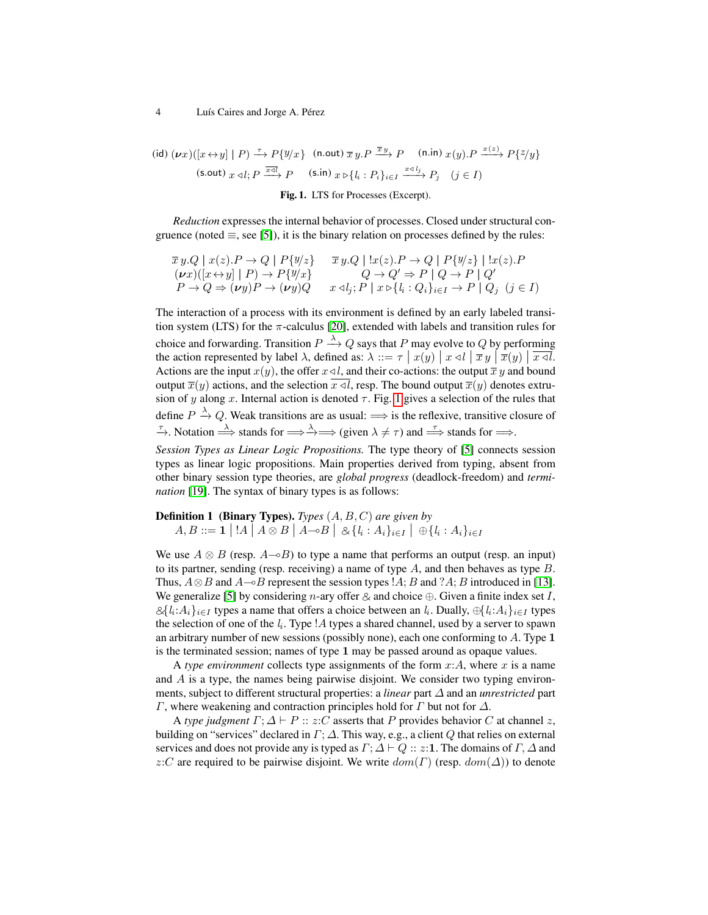$$
\begin{aligned}\n\text{(id)} \ (\nu x) ([x \leftrightarrow y] \mid P) & \xrightarrow{\tau} P \{ y/x \} \quad \text{(n.out)} \ \overline{x} \, y.P \xrightarrow{\overline{x}y} P \quad \text{(n.in)} \ x(y).P \xrightarrow{x(z)} P \{ z/y \} \\
\text{(s.out)} \ x \triangleleft l; P \xrightarrow{\overline{x \triangleleft l}} P \quad \text{(s.in)} \ x \triangleright \{ l_i : P_i \}_{i \in I} \xrightarrow{x \triangleleft l} P_j \quad (j \in I)\n\end{aligned}
$$

Fig. 1. LTS for Processes (Excerpt).

*Reduction* expresses the internal behavior of processes. Closed under structural congruence (noted  $\equiv$ , see [5]), it is the binary relation on processes defined by the rules:

$$
\overline{x} y.Q \mid x(z).P \to Q \mid P\{y/z\} \qquad \overline{x} y.Q \mid !x(z).P \to Q \mid P\{y/z\} \mid !x(z).P \n(\nu x)([x \leftrightarrow y] \mid P) \to P\{y/x\} \qquad Q \to Q' \Rightarrow P \mid Q \to P \mid Q' \nP \to Q \Rightarrow (\nu y)P \to (\nu y)Q \qquad x \triangleleft j; P \mid x \triangleright \{l_i : Q_i\}_{i \in I} \to P \mid Q_j \ (j \in I)
$$

The interaction of a process with its environment is defined by an early labeled transition system (LTS) for the  $\pi$ -calculus [20], extended with labels and transition rules for choice and forwarding. Transition  $P \stackrel{\lambda}{\longrightarrow} Q$  says that  $P$  may evolve to  $Q$  by performing the action represented by label  $\lambda$ , defined as:  $\lambda ::= \tau | x(y) | x \triangleleft l | \overline{x} y | \overline{x}(y) | \overline{x \triangleleft l}$ . Actions are the input  $x(y)$ , the offer  $x \triangleleft l$ , and their co-actions: the output  $\overline{x} y$  and bound output  $\overline{x}(y)$  actions, and the selection  $x \triangleleft l$ , resp. The bound output  $\overline{x}(y)$  denotes extrusion of y along x. Internal action is denoted  $\tau$ . Fig. 1 gives a selection of the rules that define  $P \stackrel{\lambda}{\rightarrow} Q$ . Weak transitions are as usual:  $\Longrightarrow$  is the reflexive, transitive closure of  $\stackrel{\tau}{\rightarrow}$ . Notation  $\stackrel{\lambda}{\Longrightarrow}$  stands for  $\Longrightarrow \stackrel{\lambda}{\Longrightarrow}$  (given  $\lambda \neq \tau$ ) and  $\stackrel{\tau}{\Longrightarrow}$  stands for  $\Longrightarrow$ .

*Session Types as Linear Logic Propositions.* The type theory of [5] connects session types as linear logic propositions. Main properties derived from typing, absent from other binary session type theories, are *global progress* (deadlock-freedom) and *termination* [19]. The syntax of binary types is as follows:

# Definition 1 (Binary Types). *Types* (A, B, C) *are given by*  $A, B ::= \mathbf{1} | A | A \otimes B | A \otimes B | A \otimes B | A \otimes B | A \otimes B | A \otimes B | A \otimes B | A \otimes B | A \otimes B | B \otimes B | A \otimes B | B \otimes B | A \otimes B | B \otimes B | A \otimes B | B \otimes B | B \otimes B | B \otimes B | B \otimes B | B \otimes B | B \otimes B | B \otimes B | B \otimes B | B \otimes B | B \otimes B | B \otimes B | B \otimes B | B \otimes B | B \otimes B | B \otimes B | B \otimes B | B \otimes B | B \otimes B | B \otimes B | B \ot$

We use  $A \otimes B$  (resp.  $A\rightarrow B$ ) to type a name that performs an output (resp. an input) to its partner, sending (resp. receiving) a name of type  $A$ , and then behaves as type  $B$ . Thus,  $A \otimes B$  and  $A \rightarrow B$  represent the session types !A; B and ?A; B introduced in [13]. We generalize [5] by considering n-ary offer  $\&$  and choice  $\oplus$ . Given a finite index set I,  $\mathcal{B}\lbrace i_i: A_i \rbrace_{i \in I}$  types a name that offers a choice between an  $l_i$ . Dually,  $\mathcal{B}\lbrace i_i: A_i \rbrace_{i \in I}$  types the selection of one of the l. Type 14 types a shared channel, used by a server to spaying the selection of one of the  $l_i$ . Type ! A types a shared channel, used by a server to spawn an arbitrary number of new sessions (possibly none), each one conforming to A. Type 1 is the terminated session; names of type 1 may be passed around as opaque values.

A *type environment* collects type assignments of the form  $x:A$ , where  $x$  is a name and A is a type, the names being pairwise disjoint. We consider two typing environments, subject to different structural properties: a *linear* part ∆ and an *unrestricted* part Γ, where weakening and contraction principles hold for Γ but not for ∆.

A *type judgment*  $\Gamma$ ;  $\Delta \vdash P$  :: *z*:*C* asserts that P provides behavior C at channel *z*, building on "services" declared in  $\Gamma$ ;  $\Delta$ . This way, e.g., a client Q that relies on external services and does not provide any is typed as  $\Gamma$ ;  $\Delta \vdash Q :: z$ : 1. The domains of  $\Gamma$ ,  $\Delta$  and z:C are required to be pairwise disjoint. We write  $dom(\Gamma)$  (resp.  $dom(\Delta)$ ) to denote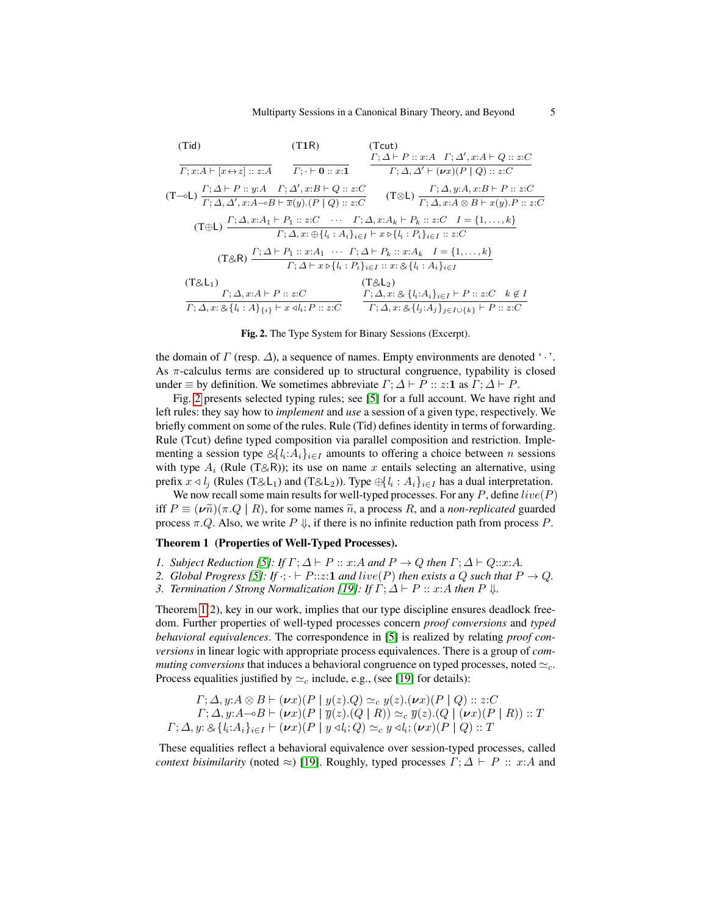(Tid) (T1R) (Tcut)  
\n
$$
\overline{r; x:A \vdash [x \leftrightarrow z] :: z:A} \qquad \overline{r; \vdash 0 :: x:1} \qquad \frac{\Gamma; \Delta \vdash P :: x:A \quad \Gamma; \Delta', x:A \vdash Q :: z:C}{\Gamma; \Delta, \Delta' \vdash (\nu x)(P \mid Q) :: z:C}
$$
\n(1– $\circ$ L) 
$$
\frac{\Gamma; \Delta \vdash P :: y:A \quad \Gamma; \Delta', x:B \vdash Q :: z:C}{\Gamma; \Delta, \Delta', x:A \multimap B \vdash \overline{x}(y).(P \mid Q) :: z:C} \qquad (\text{TeV}) \frac{\Gamma; \Delta, y:A, x:B \vdash P :: z:C}{\Gamma; \Delta, x:A \otimes B \vdash x(y).P :: z:C}
$$
\n(1 $\oplus$ L) 
$$
\frac{\Gamma; \Delta, x:A_1 \vdash P_1 :: z:C \quad \cdots \quad \Gamma; \Delta, x:A_k \vdash P_k :: z:C \quad I = \{1, \ldots, k\}}{\Gamma; \Delta, x: \oplus \{l_i : A_i\}_{i \in I} \vdash x \triangleright \{l_i : P_i\}_{i \in I} :: z:C}
$$
\n(1 $\otimes$ R) 
$$
\frac{\Gamma; \Delta \vdash P_1 :: x:A_1 \cdots \Gamma; \Delta \vdash P_k :: x:A_k \quad I = \{1, \ldots, k\}}{\Gamma; \Delta \vdash x \triangleright \{l_i : P_i\}_{i \in I} :: x: \Delta_i \{l_i : A_i\}_{i \in I}}
$$
\n(1 $\otimes$ L<sub>1</sub>) (1 $\otimes$ L<sub>2</sub>)  
\n
$$
\frac{\Gamma; \Delta, x:A \vdash P :: z:C}{\Gamma; \Delta, x: \Delta_i \{l_i : A\}_{i \in I} \vdash x \exists l_i; P :: z:C} \qquad \frac{\Gamma; \Delta, x: \Delta_i \{l_i : A_i\}_{i \in I} \vdash P :: z:C \quad k \notin I}{\Gamma; \Delta, x: \Delta_i \{l_i : A\}_{i \in I} \vdash P :: z:C}
$$

Fig. 2. The Type System for Binary Sessions (Excerpt).

the domain of  $\Gamma$  (resp.  $\Delta$ ), a sequence of names. Empty environments are denoted ' $\cdot$ '. As  $\pi$ -calculus terms are considered up to structural congruence, typability is closed under  $\equiv$  by definition. We sometimes abbreviate  $\Gamma$ ;  $\Delta \vdash P$  :: z:1 as  $\Gamma$ ;  $\Delta \vdash P$ .

Fig. 2 presents selected typing rules; see [5] for a full account. We have right and left rules: they say how to *implement* and *use* a session of a given type, respectively. We briefly comment on some of the rules. Rule (Tid) defines identity in terms of forwarding. Rule (Tcut) define typed composition via parallel composition and restriction. Implementing a session type  $\mathcal{A}\{l_i: A_i\}_{i\in I}$  amounts to offering a choice between *n* sessions with type  $A$ , (Pule (To B)); its use on name *x* entails selecting an elternative using with type  $A_i$  (Rule (T&R)); its use on name x entails selecting an alternative, using prefix  $x \triangleleft l_j$  (Rules (T&L<sub>1</sub>) and (T&L<sub>2</sub>)). Type  $\bigoplus l_i : A_i\}_{i \in I}$  has a dual interpretation.<br>We now recall some main results for well-typed processes. For any *P*, define live(*P* 

We now recall some main results for well-typed processes. For any  $P$ , define  $live(P)$ iff  $P \equiv (\nu \tilde{n}) (\pi . Q \mid R)$ , for some names  $\tilde{n}$ , a process R, and a *non-replicated* guarded process  $\pi.Q$ . Also, we write  $P \Downarrow$ , if there is no infinite reduction path from process P.

#### Theorem 1 (Properties of Well-Typed Processes).

- *1. Subject Reduction [5]: If*  $\Gamma$ ;  $\Delta \vdash P$  :: x:A and  $P \rightarrow Q$  then  $\Gamma$ ;  $\Delta \vdash Q$ ::x:A.
- 2. *Global Progress* [5]: If  $\cdot$ ;  $\cdot \vdash P$ :  $z$ :1 *and* live(P) *then exists a* Q *such that*  $P \rightarrow Q$ .
- *3. Termination / Strong Normalization [19]: If*  $\Gamma$ ;  $\Delta \vdash P$  :: x:A *then*  $P \Downarrow$ .

Theorem 1(2), key in our work, implies that our type discipline ensures deadlock freedom. Further properties of well-typed processes concern *proof conversions* and *typed behavioral equivalences*. The correspondence in [5] is realized by relating *proof conversions* in linear logic with appropriate process equivalences. There is a group of *commuting conversions* that induces a behavioral congruence on typed processes, noted  $\simeq_c$ . Process equalities justified by  $\simeq_c$  include, e.g., (see [19] for details):

$$
\Gamma; \Delta, y: A \otimes B \vdash (\nu x)(P \mid y(z).Q) \simeq_c y(z).(\nu x)(P \mid Q) :: z:C \Gamma; \Delta, y: A \rightarrow B \vdash (\nu x)(P \mid \overline{y}(z).(Q \mid R)) \simeq_c \overline{y}(z).(Q \mid (\nu x)(P \mid R)) :: T \Gamma; \Delta, y: \& \{l_i: A_i\}_{i \in I} \vdash (\nu x)(P \mid y \triangleleft l; Q) \simeq_c y \triangleleft l; (\nu x)(P \mid Q) :: T
$$

These equalities reflect a behavioral equivalence over session-typed processes, called *context bisimilarity* (noted  $\approx$ ) [19]. Roughly, typed processes  $\Gamma$ ;  $\Delta \vdash P$  :: x:A and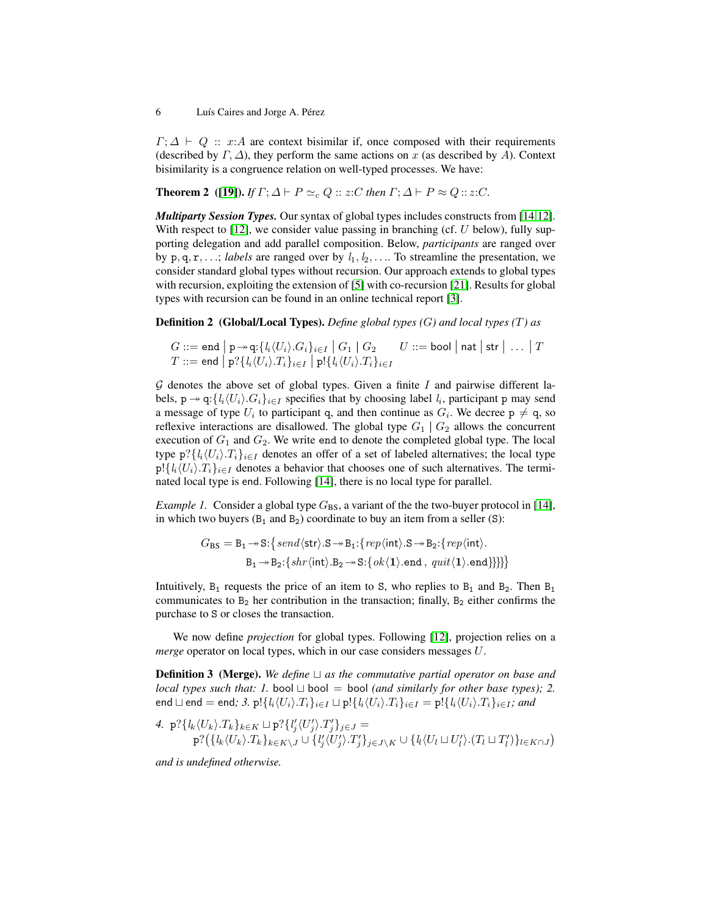$\Gamma: \Delta \vdash Q :: x:A$  are context bisimilar if, once composed with their requirements (described by  $\Gamma$ ,  $\Delta$ ), they perform the same actions on x (as described by A). Context bisimilarity is a congruence relation on well-typed processes. We have:

**Theorem 2** ([19]). *If*  $\Gamma$ ;  $\Delta \vdash P \simeq_c Q :: z:C$  *then*  $\Gamma$ ;  $\Delta \vdash P \approx Q :: z:C$ .

*Multiparty Session Types.* Our syntax of global types includes constructs from [14,12]. With respect to  $[12]$ , we consider value passing in branching (cf. U below), fully supporting delegation and add parallel composition. Below, *participants* are ranged over by p, q, r, ...; *labels* are ranged over by  $l_1, l_2, \ldots$  To streamline the presentation, we consider standard global types without recursion. Our approach extends to global types with recursion, exploiting the extension of [5] with co-recursion [21]. Results for global types with recursion can be found in an online technical report [3].

Definition 2 (Global/Local Types). *Define global types (*G*) and local types (*T*) as*

$$
G ::= \mathsf{end} \Big| \mathop{\mathsf{p}}\nolimits \to \mathop{\mathsf{q}}\nolimits: \{ l_i \langle U_i \rangle . G_i \}_{i \in I} \Big| \mathop{G_1} \big| \mathop{G_2} \limits_{i \in I} \bigcup U ::= \mathsf{bool} \Big| \mathop{\mathsf{nat}}\nolimits \Big| \mathop{\mathsf{str}}\nolimits \Big| \dots \Big| \mathop{T}{T}
$$
  

$$
T ::= \mathsf{end} \Big| \mathop{\mathsf{p}}\nolimits? \{ l_i \langle U_i \rangle . T_i \}_{i \in I} \Big| \mathop{\mathsf{p}}\nolimits! \{ l_i \langle U_i \rangle . T_i \}_{i \in I}
$$

 $G$  denotes the above set of global types. Given a finite  $I$  and pairwise different labels,  $p \rightarrow q: \{l_i \langle U_i \rangle . G_i\}_{i \in I}$  specifies that by choosing label  $l_i$ , participant p may send a message of type  $U_i$  to participant q, and then continue as  $G_i$ . We decree  $p \neq q$ , so reflexive interactions are disallowed. The global type  $G_1 \mid G_2$  allows the concurrent execution of  $G_1$  and  $G_2$ . We write end to denote the completed global type. The local type p? $\{l_i\langle U_i\rangle\ldots T_i\}_{i\in I}$  denotes an offer of a set of labeled alternatives; the local type  $p! \{l_i\langle U_i\rangle, T_i\}_{i\in I}$  denotes a behavior that chooses one of such alternatives. The terminated local type is end. Following [14], there is no local type for parallel.

*Example 1.* Consider a global type  $G_{BS}$ , a variant of the the two-buyer protocol in [14], in which two buyers  $(B_1 \text{ and } B_2)$  coordinate to buy an item from a seller (S):

$$
G_{\text{BS}} = B_1 \rightarrow S: \{ \text{send} \langle \text{str} \rangle . \text{S} \rightarrow B_1 : \{ \text{rep} \langle \text{int} \rangle . \text{S} \rightarrow B_2 : \{ \text{rep} \langle \text{int} \rangle . \text{B}_1 \rightarrow B_2 : \{ \text{shr} \langle \text{int} \rangle . \text{B}_2 \rightarrow S : \{ \text{ok} \langle 1 \rangle . \text{end}, \text{quit} \langle 1 \rangle . \text{end} \} \} \}
$$

Intuitively,  $B_1$  requests the price of an item to S, who replies to  $B_1$  and  $B_2$ . Then  $B_1$ communicates to  $B_2$  her contribution in the transaction; finally,  $B_2$  either confirms the purchase to S or closes the transaction.

We now define *projection* for global types. Following [12], projection relies on a *merge* operator on local types, which in our case considers messages U.

**Definition 3** (Merge). We define  $\sqcup$  as the commutative partial operator on base and *local types such that: 1.* bool  $\Box$  bool = bool *(and similarly for other base types); 2.* end  $\sqcup$  end  $=$  end; 3.  $p! \{l_i \langle U_i \rangle T_i\}_{i \in I} \sqcup p! \{l_i \langle U_i \rangle T_i\}_{i \in I} = p! \{l_i \langle U_i \rangle T_i\}_{i \in I}$ *; and* 

4. 
$$
p? \{l_k \langle U_k \rangle T_k\}_{k \in K} \sqcup p? \{l'_j \langle U'_j \rangle T'_j\}_{j \in J} =
$$

$$
p? \{l_k \langle U_k \rangle T_k\}_{k \in K \setminus J} \cup \{l'_j \langle U'_j \rangle T'_j\}_{j \in J \setminus K} \cup \{l_l \langle U_l \sqcup U'_l \rangle . (T_l \sqcup T'_l)\}_{l \in K \cap J})
$$

*and is undefined otherwise.*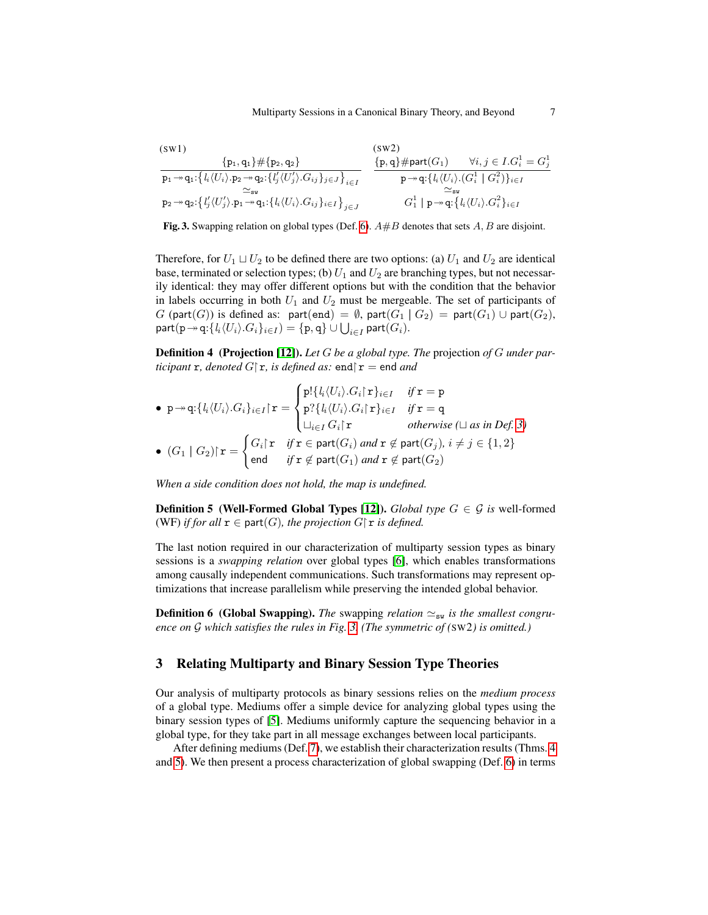$$
(sw1)
$$
\n
$$
\frac{\{p_1, q_1\} \# \{p_2, q_2\}}{p_1 \to q_1: \{l_i \langle U_i \rangle \cdot p_2 \to q_2: \{l'_j \langle U'_j \rangle \cdot G_{ij}\}_{j \in J}\}} \xrightarrow{\{p, q\} \# \text{part}(G_1) \quad \forall i, j \in I. G_i^1 = G_j^1 \atop p \to q: \{l_i \langle U_i \rangle \cdot (G_i^1 \mid G_i^2)\}_{i \in I}} \frac{\{p, q\} \# \text{part}(G_1) \quad \forall i, j \in I. G_i^1 = G_j^1 \atop p \to q: \{l_i \langle U_i \rangle \cdot (G_i^1 \mid G_i^2)\}_{i \in I}}}{\sum_{\substack{\simeq \text{sw} \\ \simeq \text{sw}}} \{l_i \langle U_i \rangle \cdot (G_i^1 \mid G_i^2)\}_{i \in I}} \frac{\{p, q\}}{p \to q: \{l_i \langle U_i \rangle \cdot (G_i^1 \mid G_i^2)\}_{i \in I}} \frac{\{p, q\}}{p \to q: \{l_i \langle U_i \rangle \cdot (G_i^1 \mid G_i^2)\}_{i \in I}}{\{l_i \langle U_i \rangle \cdot (G_i^1 \mid G_i^2)\}_{i \in I}}
$$

Fig. 3. Swapping relation on global types (Def. 6).  $A#B$  denotes that sets  $A, B$  are disjoint.

Therefore, for  $U_1 \sqcup U_2$  to be defined there are two options: (a)  $U_1$  and  $U_2$  are identical base, terminated or selection types; (b)  $U_1$  and  $U_2$  are branching types, but not necessarily identical: they may offer different options but with the condition that the behavior in labels occurring in both  $U_1$  and  $U_2$  must be mergeable. The set of participants of G (part(G)) is defined as: part(end) =  $\emptyset$ , part( $G_1 \mid G_2$ ) = part( $G_1 \cup \text{part}(G_2)$ ,  $\textsf{part}(\mathtt{p}\!\rightarrow\!\mathtt{q}\!\!:\!\! \{l_i\langle U_i\rangle .G_i\}_{i\in I} ) = \{\mathtt{p},\mathtt{q}\}\cup\bigcup_{i\in I}\textsf{part}(G_i).$ 

Definition 4 (Projection [12]). *Let* G *be a global type. The* projection *of* G *under participant* **r**, *denoted*  $G\mathbf{r}$ , *is defined as:* end $\mathbf{r} =$  end *and* 

• 
$$
p \rightarrow q: \{l_i \langle U_i \rangle . G_i\}_{i \in I} \rbrace {\begin{cases} p! \{l_i \langle U_i \rangle . G_i \rbrace \rbrace i \in I & \text{if } r = p \\ p? \{l_i \langle U_i \rangle . G_i \rbrace \rbrace i \in I & \text{if } r = q \\ \sqcup_{i \in I} G_i \rbrace r & \text{otherwise } (\sqcup \text{ as in Def. 3}) \end{cases}} \rbrace {\begin{cases} G_i \rbrace r & \text{if } r \in \text{part}(G_i) \text{ and } r \notin \text{part}(G_i) & \text{if } i \neq j \in \{1, 2\} \end{cases}}
$$

• 
$$
(G_1 | G_2) | \mathbf{r} = \begin{cases} G_i | \mathbf{r} & \text{if } \mathbf{r} \in \text{part}(G_i) \text{ and } \mathbf{r} \notin \text{part}(G_j), i \neq j \in \{1, 2\} \\ \text{end} & \text{if } \mathbf{r} \notin \text{part}(G_1) \text{ and } \mathbf{r} \notin \text{part}(G_2) \end{cases}
$$

*When a side condition does not hold, the map is undefined.*

**Definition 5 (Well-Formed Global Types [12]).** *Global type*  $G \in \mathcal{G}$  *is* well-formed (WF) *if for all*  $r \in$  part(*G*)*, the projection G*| $r$  *is defined.* 

The last notion required in our characterization of multiparty session types as binary sessions is a *swapping relation* over global types [6], which enables transformations among causally independent communications. Such transformations may represent optimizations that increase parallelism while preserving the intended global behavior.

**Definition 6 (Global Swapping).** The swapping *relation*  $\simeq_{\text{sw}}$  *is the smallest congruence on* G *which satisfies the rules in Fig. 3. (The symmetric of (*SW2*) is omitted.)*

# 3 Relating Multiparty and Binary Session Type Theories

Our analysis of multiparty protocols as binary sessions relies on the *medium process* of a global type. Mediums offer a simple device for analyzing global types using the binary session types of [5]. Mediums uniformly capture the sequencing behavior in a global type, for they take part in all message exchanges between local participants.

After defining mediums (Def. 7), we establish their characterization results (Thms. 4 and 5). We then present a process characterization of global swapping (Def. 6) in terms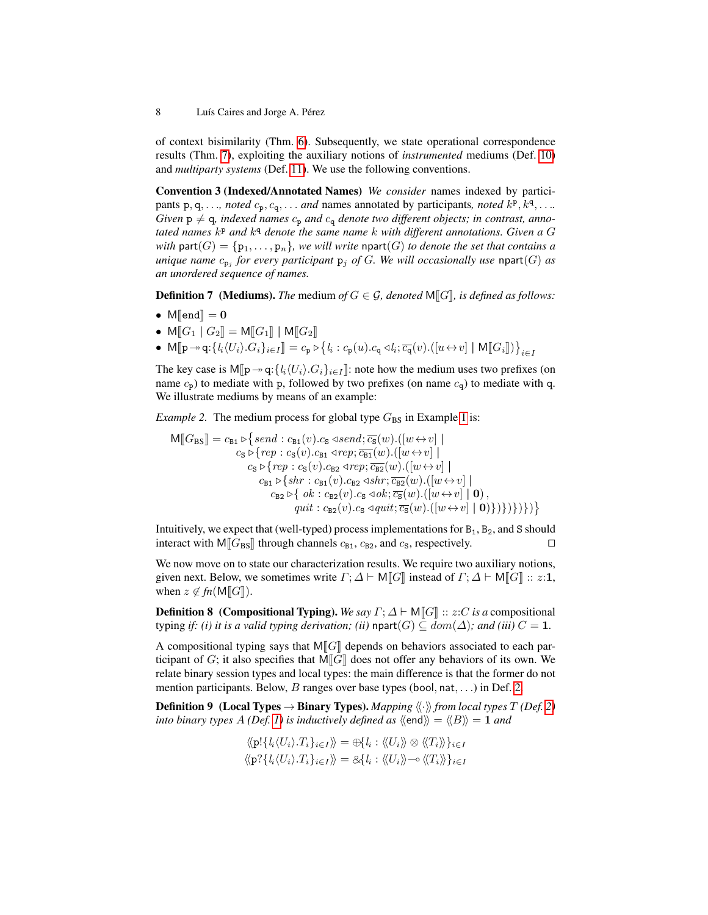of context bisimilarity (Thm. 6). Subsequently, we state operational correspondence results (Thm. 7), exploiting the auxiliary notions of *instrumented* mediums (Def. 10) and *multiparty systems* (Def. 11). We use the following conventions.

Convention 3 (Indexed/Annotated Names) *We consider* names indexed by participants p, q, ..., *noted*  $c_p, c_q, \ldots$  *and* names annotated by participants, *noted*  $k^p, k^q, \ldots$ *Given*  $p \neq q$ *, indexed names*  $c_p$  *and*  $c_q$  *denote two different objects; in contrast, anno*tated names  $k^{\mathbf{p}}$  and  $k^{\mathbf{q}}$  denote the same name  $k$  with different annotations. Given a G *with*  $part(G) = \{p_1, \ldots, p_n\}$ *, we will write*  $npart(G)$  *to denote the set that contains a unique name* cp<sup>j</sup> *for every participant* p<sup>j</sup> *of* G*. We will occasionally use* npart(G) *as an unordered sequence of names.*

**Definition 7** (Mediums). *The* medium of  $G \in \mathcal{G}$ , denoted M[G], is defined as follows:

- $M[\text{end}] = 0$
- $M[[G_1 | G_2]] = M[[G_1]] | M[[G_2]]$
- $M[\mathbf{p} \rightarrow \mathbf{q}:\{l_i \langle U_i \rangle . G_i\}_{i \in I}]=c_{\mathbf{p}} \triangleright \{l_i : c_{\mathbf{p}}(u).c_{\mathbf{q}} \triangleleft l_i; \overline{c_{\mathbf{q}}}(v).([u \leftrightarrow v] \mid M[G_i]])\}_{i \in I}$

The key case is  $M[\![p \rightarrow q: \{l_i \langle U_i \rangle . G_i\}_{i \in I}]\!]$ : note how the medium uses two prefixes (on name  $c_p$ ) to mediate with p, followed by two prefixes (on name  $c_q$ ) to mediate with q. We illustrate mediums by means of an example:

*Example 2.* The medium process for global type  $G_{BS}$  in Example 1 is:

$$
\mathsf{M}\llbracket G_{\mathrm{BS}}\rrbracket = c_{\mathrm{B1}} \triangleright \{send: c_{\mathrm{B1}}(v).c_{\mathrm{S}} \triangleleft \{send; \overline{c_{\mathrm{S}}}(w).([w \leftrightarrow v] \mid \newline c_{\mathrm{S}} \triangleright \{rep : c_{\mathrm{S}}(v).c_{\mathrm{B1}} \triangleleft \{rep; \overline{c_{\mathrm{B1}}}(w).([w \leftrightarrow v] \mid \newline c_{\mathrm{S}} \triangleright \{rep : c_{\mathrm{S}}(v).c_{\mathrm{B2}} \triangleleft \{rep; \overline{c_{\mathrm{B2}}}(w).([w \leftrightarrow v] \mid \newline c_{\mathrm{B1}} \triangleright \{shr : c_{\mathrm{B1}}(v).c_{\mathrm{B2}} \triangleleft \} \text{shrr}; \overline{c_{\mathrm{B2}}}(w).([w \leftrightarrow v] \mid 0), \newline c_{\mathrm{B2}} \triangleright \{ ok : c_{\mathrm{B2}}(v).c_{\mathrm{S}} \triangleleft \} \text{shir}; \overline{c_{\mathrm{S}}}(w).([w \leftrightarrow v] \mid 0) \text{)} \} \} \} \} \}
$$

Intuitively, we expect that (well-typed) process implementations for  $B_1$ ,  $B_2$ , and S should interact with  $M[\mathcal{G}_{BS}]$  through channels  $c_{B1}$ ,  $c_{B2}$ , and  $c_{S}$ , respectively.

We now move on to state our characterization results. We require two auxiliary notions, given next. Below, we sometimes write  $\Gamma$ ;  $\Delta \vdash M[[G]]$  instead of  $\Gamma$ ;  $\Delta \vdash M[[G]] :: z:1$ , when  $z \notin fn(M[[G]])$ .

**Definition 8** (Compositional Typing). *We say*  $\Gamma: \Delta \vdash M \llbracket G \rrbracket :: z:C$  *is a* compositional typing *if: (i) it is a valid typing derivation; (ii)* npart $(G) \subseteq dom(\Delta)$ *; and (iii)*  $C = 1$ *.* 

A compositional typing says that  $M[\mathbb{G}]$  depends on behaviors associated to each participant of  $G$ ; it also specifies that  $M[[G]]$  does not offer any behaviors of its own. We relate binary session types and local types: the main difference is that the former do not mention participants. Below, B ranges over base types (bool, nat, ...) in Def. 2.

**Definition 9** (Local Types  $\rightarrow$  Binary Types). *Mapping*  $\langle \cdot \rangle$  *from local types*  $T$  *(Def. 2) into binary types* A *(Def. 1) is inductively defined as*  $\langle \langle end \rangle \rangle = \langle \langle B \rangle \rangle = 1$  *and* 

$$
\langle \langle \mathbf{p} \vert \{ l_i \langle U_i \rangle . T_i \}_{i \in I} \rangle \rangle = \bigoplus \{ l_i : \langle \langle U_i \rangle \rangle \otimes \langle \langle T_i \rangle \rangle \}_{i \in I}
$$
  

$$
\langle \langle \mathbf{p} \vert \{ l_i \langle U_i \rangle . T_i \}_{i \in I} \rangle \rangle = \langle \langle \{ l_i : \langle \langle U_i \rangle \rangle \} \rangle - \langle \langle T_i \rangle \rangle \}_{i \in I}
$$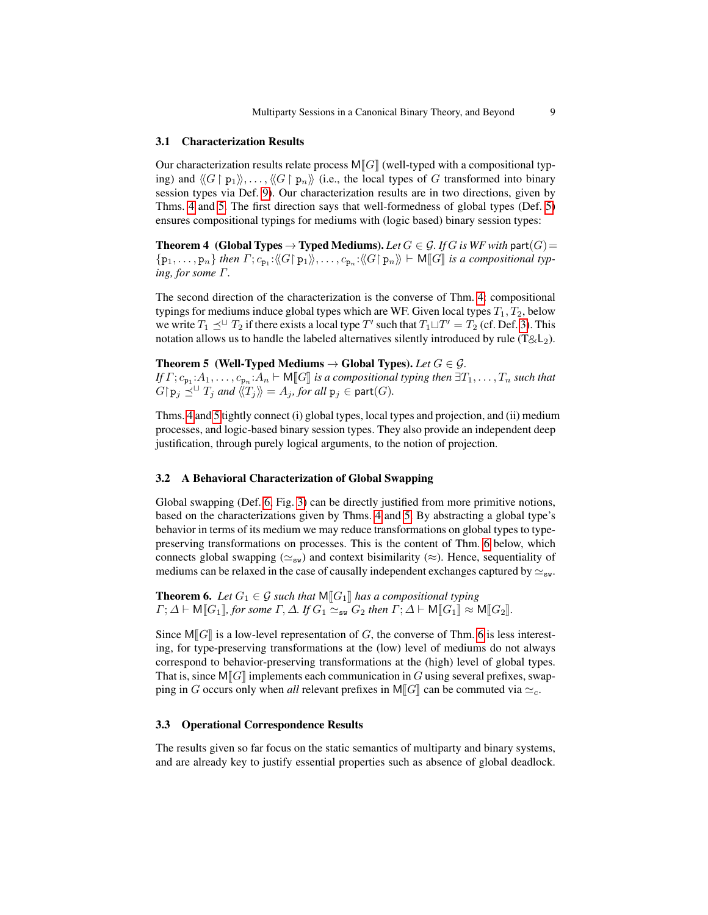#### 3.1 Characterization Results

Our characterization results relate process  $M[[G]]$  (well-typed with a compositional typing) and  $\langle G \upharpoonright p_1 \rangle, \ldots, \langle G \upharpoonright p_n \rangle$  (i.e., the local types of G transformed into binary session types via Def. 9). Our characterization results are in two directions, given by Thms. 4 and 5. The first direction says that well-formedness of global types (Def. 5) ensures compositional typings for mediums with (logic based) binary session types:

**Theorem 4** (Global Types  $\rightarrow$  Typed Mediums). Let  $G \in \mathcal{G}$ . If G is WF with part(G) =  $\{\mathbf{p}_1,\ldots,\mathbf{p}_n\}$  then  $\Gamma;\mathbf{c}_{\mathbf{p}_1}:\langle\!\langle G\vert\mathbf{p}_1\rangle\!\rangle,\ldots,\mathbf{c}_{\mathbf{p}_n}:\langle\!\langle G\vert\mathbf{p}_n\rangle\!\rangle\vdash\mathsf{M}\llbracket G\rrbracket$  is a compositional typ-<br>ing for some  $\Gamma$ *ing, for some* Γ*.*

The second direction of the characterization is the converse of Thm. 4: compositional typings for mediums induce global types which are WF. Given local types  $T_1, T_2$ , below we write  $T_1 \preceq^{\square} T_2$  if there exists a local type  $T'$  such that  $T_1 \square T' = T_2$  (cf. Def. 3). This notation allows us to handle the labeled alternatives silently introduced by rule  $(T\&L_2)$ .

Theorem 5 (Well-Typed Mediums  $\rightarrow$  Global Types). Let  $G \in \mathcal{G}$ . *If*  $\Gamma$ ;  $c_{p_1}: A_1, \ldots, c_{p_n}: A_n \vdash M[\![G]\!]$  *is a compositional typing then*  $\exists T_1, \ldots, T_n$  *such that*  $G \upharpoonright p_j \preceq^{\sqcup} T_j$  *and*  $\langle\langle T_j \rangle\rangle = A_j$ *, for all*  $p_j \in \text{part}(G)$ *.* 

Thms. 4 and 5 tightly connect (i) global types, local types and projection, and (ii) medium processes, and logic-based binary session types. They also provide an independent deep justification, through purely logical arguments, to the notion of projection.

#### 3.2 A Behavioral Characterization of Global Swapping

Global swapping (Def. 6, Fig. 3) can be directly justified from more primitive notions, based on the characterizations given by Thms. 4 and 5. By abstracting a global type's behavior in terms of its medium we may reduce transformations on global types to typepreserving transformations on processes. This is the content of Thm. 6 below, which connects global swapping ( $\simeq_{sw}$ ) and context bisimilarity ( $\approx$ ). Hence, sequentiality of mediums can be relaxed in the case of causally independent exchanges captured by  $\simeq_{\text{sw}}$ .

**Theorem 6.** *Let*  $G_1 \in \mathcal{G}$  *such that*  $M[G_1]$  *has a compositional typing*  $\Gamma$ ;  $\Delta \vdash \mathsf{M}[\![G_1]\!]$ *, for some*  $\Gamma$ *,*  $\Delta$ *. If*  $G_1 \simeq_{\mathsf{sw}} G_2$  *then*  $\Gamma$ ;  $\Delta \vdash \mathsf{M}[\![G_1]\!] \approx \mathsf{M}[\![G_2]\!]$ *.* 

Since  $M[[G]]$  is a low-level representation of G, the converse of Thm. 6 is less interesting, for type-preserving transformations at the (low) level of mediums do not always correspond to behavior-preserving transformations at the (high) level of global types. That is, since  $M\llbracket G \rrbracket$  implements each communication in G using several prefixes, swapping in G occurs only when *all* relevant prefixes in M[G] can be commuted via  $\simeq_c$ .

#### 3.3 Operational Correspondence Results

The results given so far focus on the static semantics of multiparty and binary systems, and are already key to justify essential properties such as absence of global deadlock.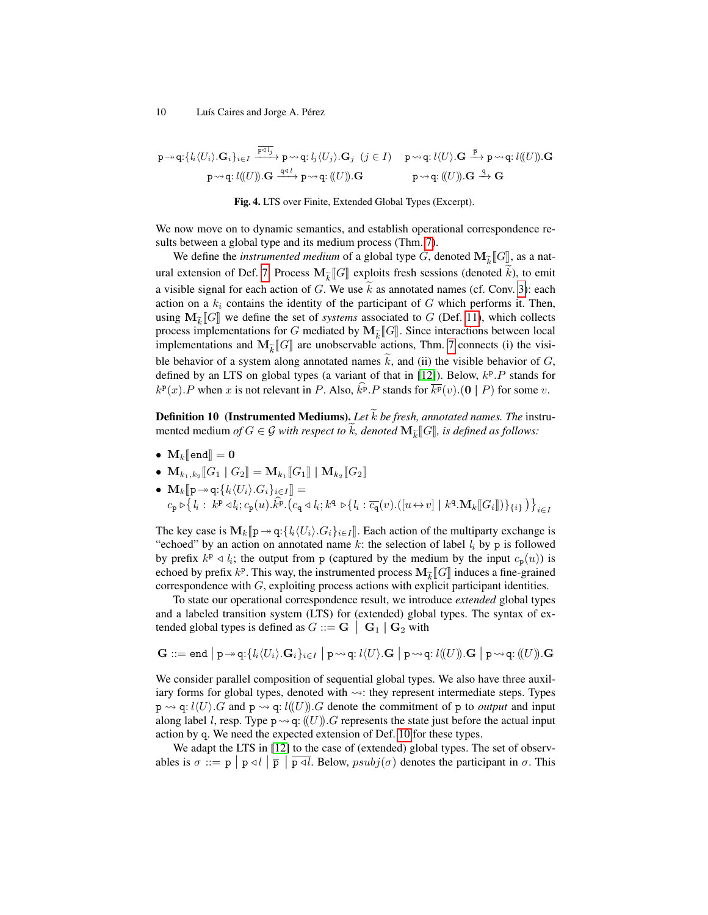$$
\begin{array}{cc} \mathbf{p} \twoheadrightarrow \mathbf{q} : \{l_i\langle U_i \rangle . \mathbf{G}_i\}_{i \in I} \xrightarrow{\overline{\mathbf{p} \triangleleft l_j}} \mathbf{p} \leadsto \mathbf{q} : l_j\langle U_j \rangle . \mathbf{G}_j \quad (j \in I) \quad \quad \mathbf{p} \leadsto \mathbf{q} : l\langle U \rangle . \mathbf{G} \xrightarrow{\overline{\mathbf{p}}} \mathbf{p} \leadsto \mathbf{q} : l((U)). \mathbf{G} \\ \mathbf{p} \leadsto \mathbf{q} : l((U)). \mathbf{G} \xrightarrow{\mathbf{q} \triangleleft l} \mathbf{p} \leadsto \mathbf{q} : ((U)). \mathbf{G} \xrightarrow{\mathbf{q}} \mathbf{G} \end{array}
$$

Fig. 4. LTS over Finite, Extended Global Types (Excerpt).

We now move on to dynamic semantics, and establish operational correspondence results between a global type and its medium process (Thm. 7).

We define the *instrumented medium* of a global type G, denoted  $M_{\tilde{k}}[[G]]$ , as a natural extension of Def. 7. Process  $\mathbf{M}_{k}^{\text{T}}[G]$  exploits fresh sessions (denoted k), to emit a visible signal for each action of G. We use k as annotated names (cf. Conv. 3): each action on a  $k_i$  contains the identity of the participant of  $G$  which performs it. Then, using  $M_{\tilde{k}}[[G]]$  we define the set of *systems* associated to G (Def. 11), which collects process implementations for G mediated by  $M_{\tilde{k}}[[G]]$ . Since interactions between local process implementations for G mediated by  $M_{\tilde{k}}[[G]]$ . Since interactions between local<br>implementations and  $M_{\tilde{k}}[[G]]$  are unobservable actions. Thm 7 connects (i) the visiimplementations and  $M_{\tilde{k}}[\![G]\!]$  are unobservable actions, Thm. 7 connects (i) the visible behavior of a system along annotated names  $\tilde{k}$ , and (ii) the visible behavior of G, defined by an LTS on global types (a variant of that in [12]). Below,  $k<sup>p</sup> P$  stands for  $k^p(x)$ . P when x is not relevant in P. Also,  $\hat{k}$ , P stands for  $\overline{k}$ ,  $\overline{k}$  (v). (0 | P) for some v.

**Definition 10 (Instrumented Mediums).** Let  $\tilde{k}$  be fresh, annotated names. The instrumented medium *of*  $G \in \mathcal{G}$  *with respect to k, denoted*  $\mathbf{M}_{\widetilde{k}}[\![G]\!]$ *, is defined as follows:* 

- $M_k$ [end] = 0
- $\bullet$   $\mathbf{M}_{k_1,k_2}[\![G_1 \mid G_2]\!] = \mathbf{M}_{k_1}[\![G_1]\!] \mid \mathbf{M}_{k_2}[\![G_2]\!]$
- $\mathbf{M}_k[\![\mathtt{p}\!\rightarrow\!\mathtt{q}\!:\!\{l_i\langle U_i\rangle .G_i\}_{i\in I}]\!]=$  $c_{\mathbf{p}} \triangleright \{l_i : k^{\mathbf{p}} \triangleleft l_i; c_{\mathbf{p}}(u) .\hat{k}^{\mathbf{p}}.\left(c_{\mathbf{q}} \triangleleft l_i; k^{\mathbf{q}} \triangleright \{l_i : \overline{c_{\mathbf{q}}}(v).([u \leftrightarrow v] \mid k^{\mathbf{q}}. \mathbf{M}_k[\hspace{-1.5pt}[ G_i]\hspace{-1.5pt}])\}_{i \in I} \} \right) \}$

The key case is  $\mathbf{M}_k[\mathbf{p} \to \mathbf{q}:\{l_i\langle U_i\rangle.G_i\}_{i\in I}].$  Each action of the multiparty exchange is "echoed" by an action on annotated name  $k$ : the selection of label  $l_i$  by p is followed by prefix  $k^p \triangleleft l_i$ ; the output from p (captured by the medium by the input  $c_p(u)$ ) is echoed by prefix  $k^p$ . This way, the instrumented process  $M_{\tilde{k}}[[G]]$  induces a fine-grained<br>correspondence with  $G$  exploiting process ections with explicit perticipant identities correspondence with  $G$ , exploiting process actions with explicit participant identities.

To state our operational correspondence result, we introduce *extended* global types and a labeled transition system (LTS) for (extended) global types. The syntax of extended global types is defined as  $G ::= \mathbf{G} \mid \mathbf{G}_1 | \mathbf{G}_2$  with

$$
\mathbf{G} ::= \mathtt{end} \bigm| p \mathop{\rightarrow} q{:} \{ \mathit{l}_i \langle U_i \rangle . \mathbf{G}_i \}_{i \in I} \bigm| p \mathop{\rightsquigarrow} q{:} \mathit{l} \langle U \rangle . \mathbf{G} \bigm| p \mathop{\rightsquigarrow} q{:} \mathit{l} \langle (U) \rangle . \mathbf{G} \bigm| p \mathop{\rightsquigarrow} q{:} \mathit{l} \langle (U) \rangle . \mathbf{G}
$$

We consider parallel composition of sequential global types. We also have three auxiliary forms for global types, denoted with  $\rightsquigarrow$ : they represent intermediate steps. Types  $p \rightarrow q: l\langle U \rangle$ .G and  $p \rightarrow q: l\langle U \rangle$ .G denote the commitment of p to *output* and input along label l, resp. Type  $p \rightsquigarrow q$ :  $((U))$ . G represents the state just before the actual input action by q. We need the expected extension of Def. 10 for these types.

We adapt the LTS in [12] to the case of (extended) global types. The set of observables is  $\sigma ::= p | p \triangleleft l | \overline{p} | p \triangleleft l$ . Below,  $psubj(\sigma)$  denotes the participant in  $\sigma$ . This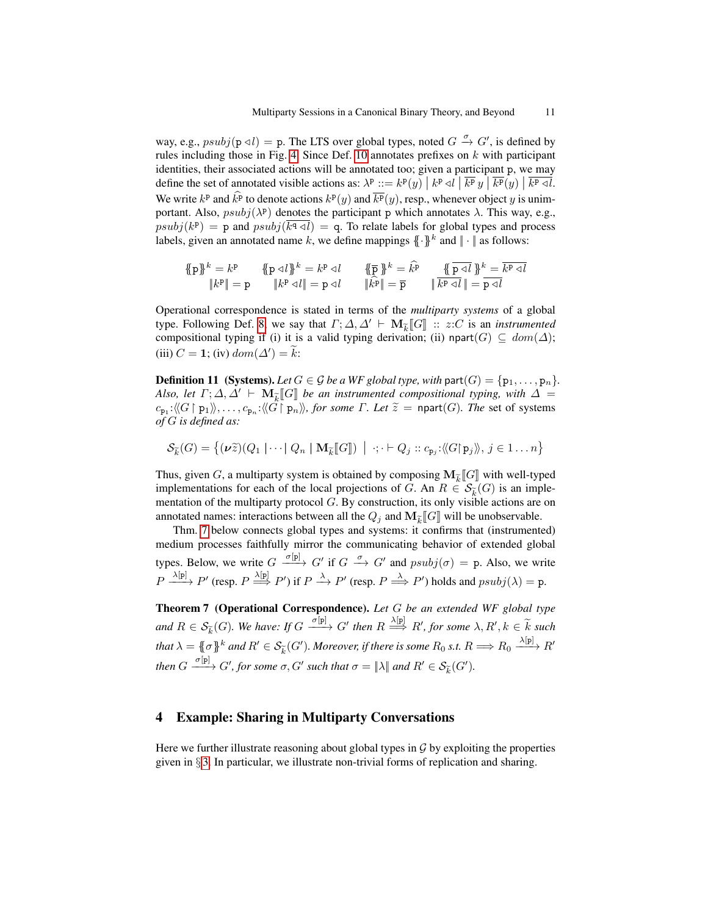way, e.g.,  $psubj(p \triangleleft l) = p$ . The LTS over global types, noted  $G \stackrel{\sigma}{\rightarrow} G'$ , is defined by rules including those in Fig. 4. Since Def. 10 annotates prefixes on  $k$  with participant identities, their associated actions will be annotated too; given a participant p, we may define the set of annotated visible actions as:  $\lambda^p ::= k^p(y) | k^p \triangleleft l | \overline{k^p} y | \overline{k^p} (y) | \overline{k^p \triangleleft l}$ . We write  $k^p$  and  $\hat{k}^p$  to denote actions  $k^p(y)$  and  $\overline{k^p}(y)$ , resp., whenever object y is unimportant. Also,  $psubj(\lambda^p)$  denotes the participant p which annotates  $\lambda$ . This way, e.g.,  $psubj(k<sup>p</sup>) = p$  and  $psubj(\overline{k<sup>q</sup> \triangleleft l}) = q$ . To relate labels for global types and process labels, given an annotated name k, we define mappings  $\{\cdot\}^k$  and  $\|\cdot\|$  as follows:

$$
\{ \begin{aligned} \{\!\!\{\mathbf{p}\}\!\!\}^k &= k^{\mathbf{p}} & \{ \begin{aligned} \{\mathbf{p} \triangleleft l\}\!\!\}^k &= k^{\mathbf{p}} \triangleleft l & \{\overline{\mathbf{p}}\}\!\!\}^k &= \hat{k}^{\mathbf{p}} & \{\overline{\mathbf{p} \triangleleft l}\}\!\!\}^k &= \overline{k}^{\mathbf{p}} \triangleleft l & \{\overline{\mathbf{p}}\}^k &= \hat{k}^{\mathbf{p}} & \{\overline{\mathbf{p} \triangleleft l}\}\!\!\}^k &= \overline{k}^{\mathbf{p} \triangleleft l} \\ \|\overline{k}^{\mathbf{p}}\| &= \mathbf{p} & \|\overline{k}^{\mathbf{p}}\| &= \mathbf{p} & \|\overline{k}^{\mathbf{p}}\| &= \overline{\mathbf{p}} & \|\overline{k}^{\mathbf{p} \triangleleft l}\| &= \overline{\mathbf{p} \triangleleft l} \end{aligned} \right)
$$

Operational correspondence is stated in terms of the *multiparty systems* of a global type. Following Def. 8, we say that  $\Gamma; \Delta, \Delta' \vdash \mathbf{M}_{\widetilde{k}}[\![G]\!]$  :: *z*:C is an *instrumented*<br>compositional typing if (i) it is a valid typing derivation; (ii) ppart(C)  $\subseteq$  dom( $\Delta$ ); compositional typing if (i) it is a valid typing derivation; (ii) npart(G)  $\subseteq dom(\Delta)$ ; (iii)  $C = 1$ ; (iv)  $dom(\Delta') = \tilde{k}$ :

**Definition 11** (Systems). Let  $G \in \mathcal{G}$  be a WF global type, with part $(G) = \{p_1, \ldots, p_n\}$ . *Also, let*  $\Gamma$ ;  $\Delta$ ,  $\Delta'$   $\vdash$   $\mathbf{M}_{k}$   $[\![G]\!]$  *be an instrumented compositional typing, with*  $\Delta =$ <br> $\alpha$ ,  $\exists C \upharpoonright \infty$   $\exists C \upharpoonright \infty$   $\exists C \upharpoonright \infty$   $\exists C \in \mathcal{A}$   $\infty$   $\exists C \in \mathcal{A}$   $\infty$   $\infty$   $\exists C \in \mathcal{A}$   $\infty$  $c_{p_1}:\langle\!\langle G \mid p_1 \rangle\!\rangle, \ldots, c_{p_n}:\langle\!\langle G \mid p_n \rangle\!\rangle,$  for some  $\Gamma$ *. Let*  $\widetilde{z} = \text{npart}(G)$ *. The* set of systems of *G* is defined as: *of* G *is defined as:*

 $\mathcal{S}_{\widetilde{k}}(G) = \{(\nu \widetilde{z})(Q_1 \mid \cdots \mid Q_n \mid \mathbf{M}_{\widetilde{k}}[\![G]\!]) \mid \cdot; \cdot \vdash Q_j :: c_{\mathbf{p}_j} : \langle\!\langle G \mid \mathbf{p}_j \rangle\!\rangle, j \in 1 \ldots n\}$ 

Thus, given G, a multiparty system is obtained by composing  $M_{\tilde{k}}[[G]]$  with well-typed<br>implementations for each of the local projections of  $C$ , Ap  $B \subset S_n(C)$  is an imple implementations for each of the local projections of G. An  $R \in \mathcal{S}_{\widetilde{k}}(G)$  is an implementation of the unknown protocol G. By construction its applicability actions are an mentation of the multiparty protocol  $G$ . By construction, its only visible actions are on annotated names: interactions between all the  $Q_j$  and  $M_{\tilde{k}}[\![G]\!]$  will be unobservable.<br>Then 7 holow connects clobal types and systems: it confirms that (instruments

Thm. 7 below connects global types and systems: it confirms that (instrumented) medium processes faithfully mirror the communicating behavior of extended global types. Below, we write  $G \xrightarrow{\sigma[p]} G'$  if  $G \xrightarrow{\sigma} G'$  and  $psubj(\sigma) = p$ . Also, we write  $P \xrightarrow{\lambda[p]} P'$  (resp.  $P \xrightarrow{\lambda[p]} P'$ ) if  $P \xrightarrow{\lambda} P'$  (resp.  $P \xrightarrow{\lambda} P'$ ) holds and  $psubj(\lambda) = p$ .

Theorem 7 (Operational Correspondence). *Let* G *be an extended WF global type*  $\mathcal{A}$  and  $R \in \mathcal{S}_{\widetilde{k}}(G)$ . We have: If  $G \stackrel{\sigma[p]}{\longrightarrow} G'$  then  $R \stackrel{\lambda[p]}{\Longrightarrow} R'$ , for some  $\lambda, R', k \in \widetilde{k}$  such  $\mathcal{A}$  that  $\lambda = \{ \{\sigma\}^k$  and  $R' \in \mathcal{S}_{\widetilde{k}}(G')$ . Moreover, if there is some  $R_0$  s.t.  $R \Longrightarrow R_0 \stackrel{\lambda[\mathfrak{p}]}{\longrightarrow} R'$ *then*  $G \xrightarrow{\sigma[\mathfrak{p}]} G'$ , for some  $\sigma, G'$  such that  $\sigma = \Vert \lambda \Vert$  and  $R' \in \mathcal{S}_{\widetilde{k}}(G')$ .

# 4 Example: Sharing in Multiparty Conversations

Here we further illustrate reasoning about global types in  $G$  by exploiting the properties given in § 3. In particular, we illustrate non-trivial forms of replication and sharing.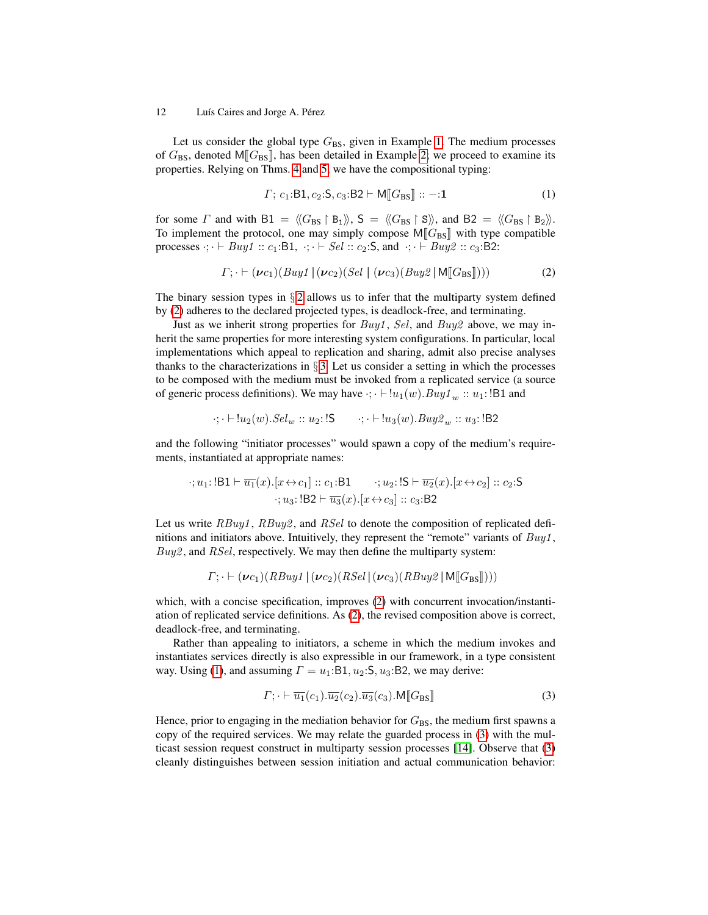Let us consider the global type  $G_{BS}$ , given in Example 1. The medium processes of  $G_{BS}$ , denoted M $[G_{BS}]$ , has been detailed in Example 2; we proceed to examine its properties. Relying on Thms. 4 and 5, we have the compositional typing:

$$
\Gamma; \, c_1: B1, c_2: S, c_3: B2 \vdash M[[G_{BS}]]::-:1 \tag{1}
$$

for some  $\Gamma$  and with  $B1 = \langle G_{BS} \upharpoonright B_1 \rangle$ ,  $S = \langle G_{BS} \upharpoonright S \rangle$ , and  $B2 = \langle G_{BS} \upharpoonright B_2 \rangle$ . To implement the protocol, one may simply compose  $M[[G_{BS}]]$  with type compatible processes  $\cdot$ ;  $\cdot \vdash Buy1 :: c_1:B1, \cdot \vdots \vdash Sel :: c_2:S$ , and  $\cdot \vdots \vdash Buy2 :: c_3:B2$ :

$$
\Gamma; \ \vdash (\nu c_1)(Buy1 \mid (\nu c_2)(Sel \mid (\nu c_3)(Buy2 \mid M[[G_{BS}]))) \tag{2}
$$

The binary session types in  $\S 2$  allows us to infer that the multiparty system defined by (2) adheres to the declared projected types, is deadlock-free, and terminating.

Just as we inherit strong properties for Buy1, Sel, and Buy2 above, we may inherit the same properties for more interesting system configurations. In particular, local implementations which appeal to replication and sharing, admit also precise analyses thanks to the characterizations in  $\S 3$ . Let us consider a setting in which the processes to be composed with the medium must be invoked from a replicated service (a source of generic process definitions). We may have  $\cdot; \cdot \vdash !u_1(w)$ . Buy1  $_w :: u_1$ : !B1 and

$$
\cdot; \cdot \vdash !u_2(w).Sel_w :: u_2 : !S \qquad \cdot; \cdot \vdash !u_3(w).Buy2_w :: u_3 : !B2
$$

and the following "initiator processes" would spawn a copy of the medium's requirements, instantiated at appropriate names:

$$
\cdot; u_1: \mathsf{IB1} \vdash \overline{u_1}(x) . [x \leftrightarrow c_1] :: c_1: \mathsf{BI} \qquad \cdot; u_2: \mathsf{IS} \vdash \overline{u_2}(x) . [x \leftrightarrow c_2] :: c_2: \mathsf{S}
$$

$$
\cdot; u_3: \mathsf{IB2} \vdash \overline{u_3}(x) . [x \leftrightarrow c_3] :: c_3: \mathsf{B2}
$$

Let us write  $RBuy1$ ,  $RBuy2$ , and  $RSel$  to denote the composition of replicated definitions and initiators above. Intuitively, they represent the "remote" variants of  $Buy1$ ,  $Buy2$ , and  $RSel$ , respectively. We may then define the multiparty system:

$$
\Gamma; \cdot \vdash (\nu c_1)(RBuy1 \mid (\nu c_2)(RSel \mid (\nu c_3)(RBuy2 \mid M[[G_{BS}]))))
$$

which, with a concise specification, improves (2) with concurrent invocation/instantiation of replicated service definitions. As (2), the revised composition above is correct, deadlock-free, and terminating.

Rather than appealing to initiators, a scheme in which the medium invokes and instantiates services directly is also expressible in our framework, in a type consistent way. Using (1), and assuming  $\Gamma = u_1$ :B1,  $u_2$ :S,  $u_3$ :B2, we may derive:

$$
\Gamma; \cdot \vdash \overline{u_1}(c_1).\overline{u_2}(c_2).\overline{u_3}(c_3).\mathsf{M}[\![G_{\rm BS}]\!]
$$
\n(3)

Hence, prior to engaging in the mediation behavior for  $G_{BS}$ , the medium first spawns a copy of the required services. We may relate the guarded process in (3) with the multicast session request construct in multiparty session processes [14]. Observe that (3) cleanly distinguishes between session initiation and actual communication behavior: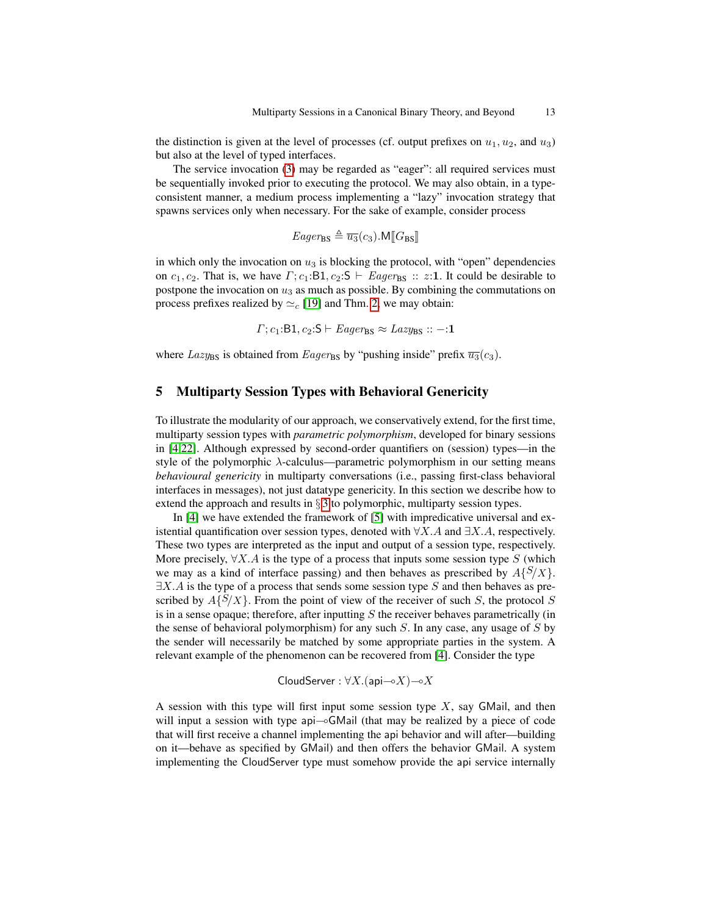the distinction is given at the level of processes (cf. output prefixes on  $u_1, u_2$ , and  $u_3$ ) but also at the level of typed interfaces.

The service invocation (3) may be regarded as "eager": all required services must be sequentially invoked prior to executing the protocol. We may also obtain, in a typeconsistent manner, a medium process implementing a "lazy" invocation strategy that spawns services only when necessary. For the sake of example, consider process

$$
Eager_{BS} \triangleq \overline{u_3}(c_3).M[[G_{BS}]]
$$

in which only the invocation on  $u_3$  is blocking the protocol, with "open" dependencies on  $c_1, c_2$ . That is, we have  $\Gamma; c_1:B1, c_2:S \vdash \textit{Eager}_{BS} :: z:1$ . It could be desirable to postpone the invocation on  $u_3$  as much as possible. By combining the commutations on process prefixes realized by  $\simeq_c [19]$  and Thm. 2, we may obtain:

$$
\Gamma
$$
;  $c_1$ :B1,  $c_2$ :S  $\vdash$  *Eager*<sub>BS</sub>  $\approx$  *Lazy*<sub>BS</sub> :: -:1

where Lazy<sub>BS</sub> is obtained from Eager<sub>BS</sub> by "pushing inside" prefix  $\overline{u_3}(c_3)$ .

## 5 Multiparty Session Types with Behavioral Genericity

To illustrate the modularity of our approach, we conservatively extend, for the first time, multiparty session types with *parametric polymorphism*, developed for binary sessions in [4,22]. Although expressed by second-order quantifiers on (session) types—in the style of the polymorphic  $\lambda$ -calculus—parametric polymorphism in our setting means *behavioural genericity* in multiparty conversations (i.e., passing first-class behavioral interfaces in messages), not just datatype genericity. In this section we describe how to extend the approach and results in § 3 to polymorphic, multiparty session types.

In [4] we have extended the framework of [5] with impredicative universal and existential quantification over session types, denoted with  $\forall X.A$  and  $\exists X.A$ , respectively. These two types are interpreted as the input and output of a session type, respectively. More precisely,  $\forall X.A$  is the type of a process that inputs some session type S (which we may as a kind of interface passing) and then behaves as prescribed by  $A\{S/X\}$ .  $\exists X.A$  is the type of a process that sends some session type S and then behaves as prescribed by  $A\{S/X\}$ . From the point of view of the receiver of such S, the protocol S is in a sense opaque; therefore, after inputting  $S$  the receiver behaves parametrically (in the sense of behavioral polymorphism) for any such  $S$ . In any case, any usage of  $S$  by the sender will necessarily be matched by some appropriate parties in the system. A relevant example of the phenomenon can be recovered from [4]. Consider the type

CloudServer :  $\forall X.$ (api $\rightarrow X$ ) $\rightarrow X$ 

A session with this type will first input some session type  $X$ , say GMail, and then will input a session with type api $\sim$ GMail (that may be realized by a piece of code that will first receive a channel implementing the api behavior and will after—building on it—behave as specified by GMail) and then offers the behavior GMail. A system implementing the CloudServer type must somehow provide the api service internally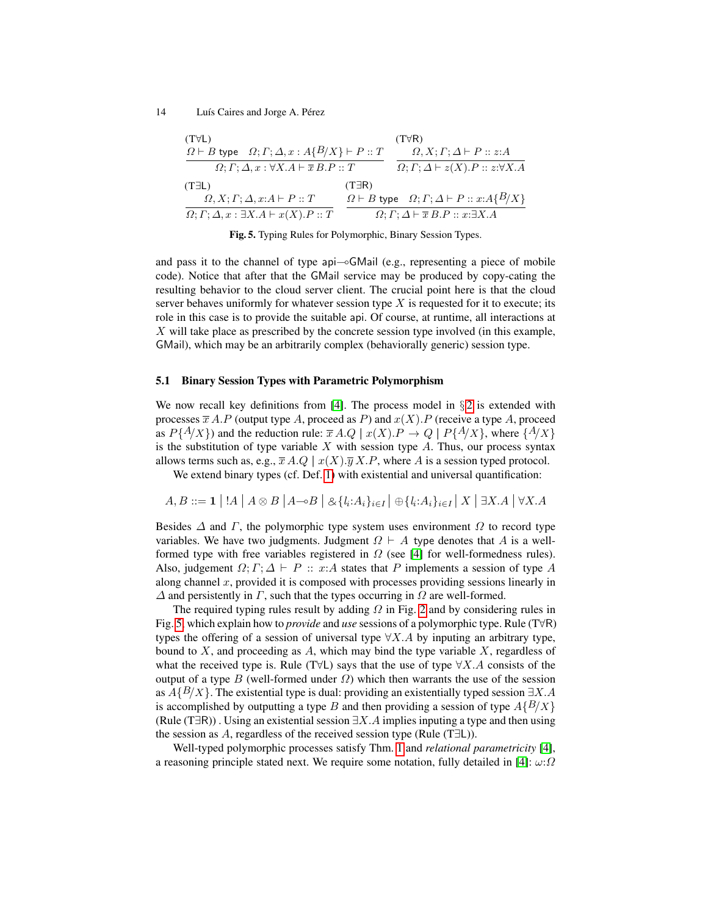$$
\begin{array}{ll} & ({\rm T\forall R})\\ \Omega \vdash B\; {\rm type}\quad \Omega; \Gamma; \varDelta, x:A \{B/X\} \vdash P::T\\ \Omega; \Gamma; \varDelta, x: \forall X.A \vdash \overline{x}\, B.P::T\\ &\varOmega, X; \Gamma; \varDelta \vdash z(X).P::z:\forall X.A\\ \hline \text{(T\exists L)}\\ \Omega, X; \Gamma; \varDelta, x:A \vdash P::T\\ &\Omega \vdash B\; {\rm type}\quad \Omega; \Gamma; \varDelta \vdash P::x:A \{B/X\}\\ \hline \Omega; \Gamma; \varDelta, x: \exists X.A \vdash x(X).P::T\\ &\varOmega; \Gamma; \varDelta \vdash \overline{x}\, B.P::x:\exists X.A\\ \end{array}
$$

Fig. 5. Typing Rules for Polymorphic, Binary Session Types.

and pass it to the channel of type api $\sim$ GMail (e.g., representing a piece of mobile code). Notice that after that the GMail service may be produced by copy-cating the resulting behavior to the cloud server client. The crucial point here is that the cloud server behaves uniformly for whatever session type  $X$  is requested for it to execute; its role in this case is to provide the suitable api. Of course, at runtime, all interactions at  $X$  will take place as prescribed by the concrete session type involved (in this example, GMail), which may be an arbitrarily complex (behaviorally generic) session type.

#### 5.1 Binary Session Types with Parametric Polymorphism

We now recall key definitions from [4]. The process model in  $\S 2$  is extended with processes  $\overline{x}$  A.P (output type A, proceed as P) and  $x(X)$ .P (receive a type A, proceed as  $P{A/X}$ ) and the reduction rule:  $\overline{x} A.Q | x(X).P \rightarrow Q | P{A/X}$ , where  ${A/X}$ is the substitution of type variable  $X$  with session type  $A$ . Thus, our process syntax allows terms such as, e.g.,  $\bar{x} A.Q | x(X)\bar{y} X.P$ , where A is a session typed protocol.

We extend binary types (cf. Def. 1) with existential and universal quantification:

$$
A, B ::= \mathbf{1} | A \mid A \otimes B \mid A \neg B \mid \& \{l_i : A_i\}_{i \in I} \mid \bigoplus \{l_i : A_i\}_{i \in I} | X \mid \exists X.A \mid \forall X.A
$$

Besides  $\Delta$  and  $\Gamma$ , the polymorphic type system uses environment  $\Omega$  to record type variables. We have two judgments. Judgment  $\Omega \vdash A$  type denotes that A is a wellformed type with free variables registered in  $\Omega$  (see [4] for well-formedness rules). Also, judgement  $\Omega; \Gamma; \Delta \vdash P :: x:A$  states that P implements a session of type A along channel x, provided it is composed with processes providing sessions linearly in  $\Delta$  and persistently in  $\Gamma$ , such that the types occurring in  $\Omega$  are well-formed.

The required typing rules result by adding  $\Omega$  in Fig. 2 and by considering rules in Fig. 5, which explain how to *provide* and *use* sessions of a polymorphic type. Rule (T∀R) types the offering of a session of universal type  $\forall X.A$  by inputing an arbitrary type, bound to  $X$ , and proceeding as  $A$ , which may bind the type variable  $X$ , regardless of what the received type is. Rule (T $\forall$ L) says that the use of type  $\forall X.A$  consists of the output of a type B (well-formed under  $\Omega$ ) which then warrants the use of the session as  $A\{B/X\}$ . The existential type is dual: providing an existentially typed session  $\exists X.A$ is accomplished by outputting a type B and then providing a session of type  $A\{B/X\}$ (Rule (T∃R)). Using an existential session  $\exists X.A$  implies inputing a type and then using the session as A, regardless of the received session type (Rule (T∃L)).

Well-typed polymorphic processes satisfy Thm. 1 and *relational parametricity* [4], a reasoning principle stated next. We require some notation, fully detailed in [4]:  $\omega$ : $\Omega$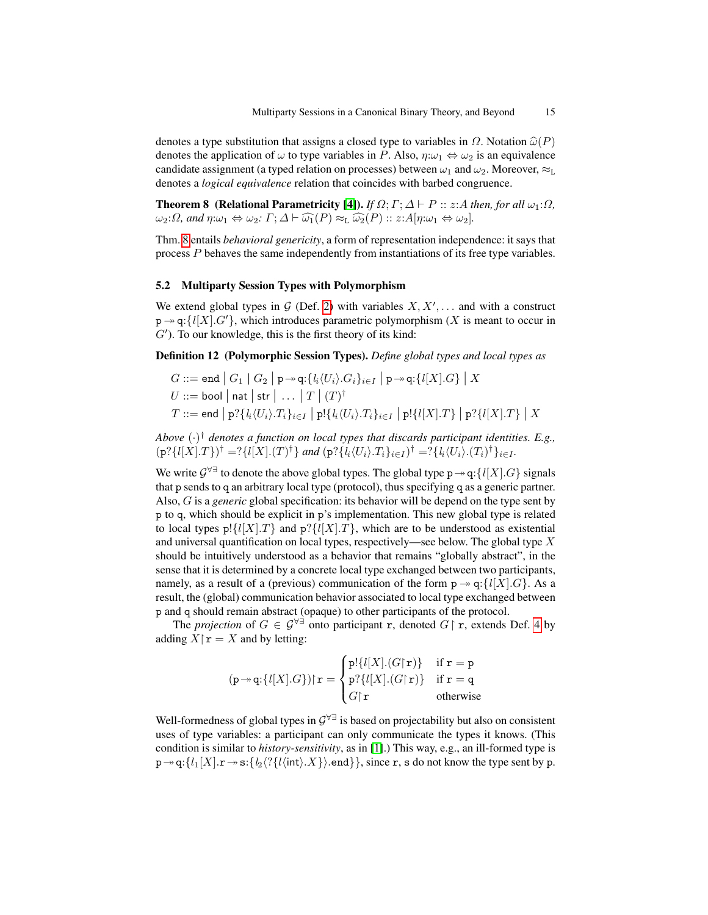denotes a type substitution that assigns a closed type to variables in  $\Omega$ . Notation  $\widehat{\omega}(P)$ denotes the application of  $\omega$  to type variables in P. Also,  $\eta:\omega_1 \Leftrightarrow \omega_2$  is an equivalence candidate assignment (a typed relation on processes) between  $\omega_1$  and  $\omega_2$ . Moreover,  $\approx_L$ denotes a *logical equivalence* relation that coincides with barbed congruence.

**Theorem 8** (Relational Parametricity [4]). *If*  $\Omega$ ;  $\Gamma$ ;  $\Delta \vdash P$  :: *z*:*A then, for all*  $\omega_1$ : $\Omega$ *,*  $\omega_2:\Omega$ , and  $\eta:\omega_1 \Leftrightarrow \omega_2:\Gamma:\Delta \vdash \widehat{\omega_1}(P) \approx_L \widehat{\omega_2}(P) :: z:A[\eta:\omega_1 \Leftrightarrow \omega_2].$ 

Thm. 8 entails *behavioral genericity*, a form of representation independence: it says that process P behaves the same independently from instantiations of its free type variables.

#### 5.2 Multiparty Session Types with Polymorphism

We extend global types in  $G$  (Def. 2) with variables  $X, X', \ldots$  and with a construct  $p \rightarrow q:\{l[X].G'\}$ , which introduces parametric polymorphism (X is meant to occur in  $G'$ ). To our knowledge, this is the first theory of its kind:

Definition 12 (Polymorphic Session Types). *Define global types and local types as*

$$
G ::= \text{end} | G_1 | G_2 | \text{p} \rightarrow \text{q}: \{ l_i \langle U_i \rangle . G_i \}_{i \in I} | \text{p} \rightarrow \text{q}: \{ l[X].G \} | X
$$
  
\n
$$
U ::= \text{bool} | \text{nat} | \text{str} | ... | T | (T)^{\dagger}
$$
  
\n
$$
T ::= \text{end} | \text{p}: \{ l_i \langle U_i \rangle . T_i \}_{i \in I} | \text{p}: \{ l_i \langle U_i \rangle . T_i \}_{i \in I} | \text{p}: \{ l[X].T \} | \text{p}: \{ l[X].T \} | X
$$

*Above* (·) † *denotes a function on local types that discards participant identities. E.g.,*  $(\mathbf{p}^{2}\{l[X].T\})^{\dagger} = ?\{l[X].(T)^{\dagger}\}\$ and $(\mathbf{p}^{2}\{l_i\langle U_i \rangle .T_i\}_{i \in I})^{\dagger} = ?\{l_i\langle U_i \rangle .(T_i)^{\dagger}\}_{i \in I}$ .

We write  $\mathcal{G}^{\forall\exists}$  to denote the above global types. The global type p  $\rightarrow$  q: { $l[X].G$ } signals that p sends to q an arbitrary local type (protocol), thus specifying q as a generic partner. Also, G is a *generic* global specification: its behavior will be depend on the type sent by p to q, which should be explicit in p's implementation. This new global type is related to local types  $p! \{l[X].T\}$  and  $p? \{l[X].T\}$ , which are to be understood as existential and universal quantification on local types, respectively—see below. The global type  $X$ should be intuitively understood as a behavior that remains "globally abstract", in the sense that it is determined by a concrete local type exchanged between two participants, namely, as a result of a (previous) communication of the form  $p \rightarrow q: \{l[X].G\}$ . As a result, the (global) communication behavior associated to local type exchanged between p and q should remain abstract (opaque) to other participants of the protocol.

The *projection* of  $G \in \mathcal{G}^{\forall \exists}$  onto participant r, denoted  $G \upharpoonright r$ , extends Def. 4 by adding  $X\upharpoonright$  **r** = X and by letting:

$$
(\mathbf{p} \rightarrow \mathbf{q}:\{l[X].G\})|\mathbf{r} = \begin{cases} \mathbf{p}!\{l[X].(G|\mathbf{r})\} & \text{if } \mathbf{r} = \mathbf{p} \\ \mathbf{p}?\{l[X].(G|\mathbf{r})\} & \text{if } \mathbf{r} = \mathbf{q} \\ G|\mathbf{r} & \text{otherwise} \end{cases}
$$

Well-formedness of global types in  $\mathcal{G}^{\forall\exists}$  is based on projectability but also on consistent uses of type variables: a participant can only communicate the types it knows. (This condition is similar to *history-sensitivity*, as in [1].) This way, e.g., an ill-formed type is  $p \rightarrow q:\{l_1[X].r\rightarrow s:\{l_2\langle ?\{l\langle \text{int}\rangle X\}\rangle.\text{end}\}\}$ , since r, s do not know the type sent by p.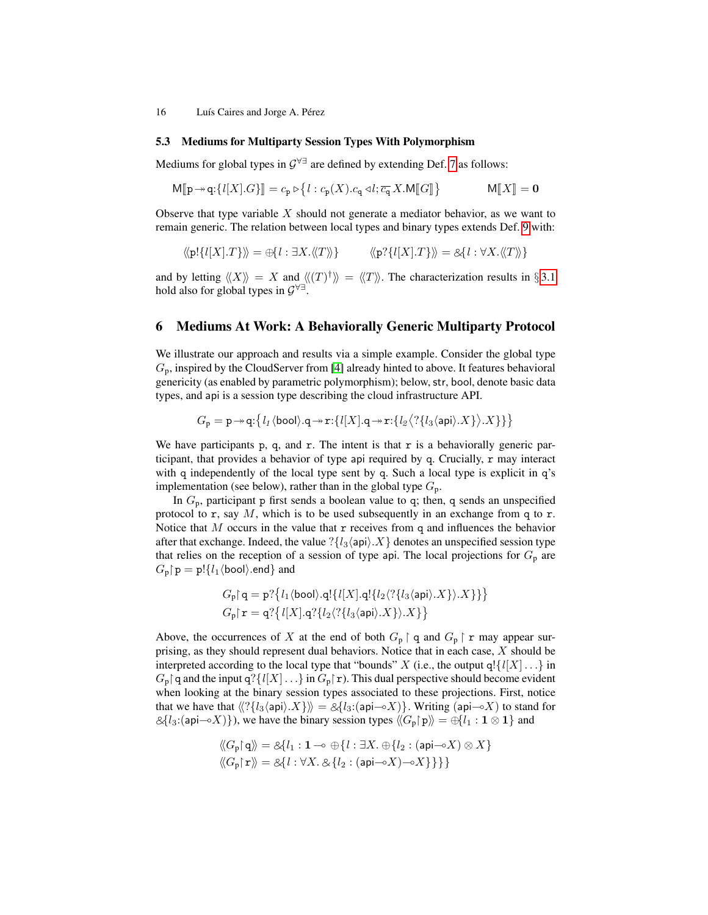#### 5.3 Mediums for Multiparty Session Types With Polymorphism

Mediums for global types in  $\mathcal{G}^{\forall\exists}$  are defined by extending Def. 7 as follows:

$$
\mathsf{M}[\![p \to q:\{l[X].G\}]\!] = c_p \triangleright \{l : c_p(X).c_q \triangleleft l; \overline{c_q} X.\mathsf{M}[\![G]\!] \} \qquad \mathsf{M}[\![X]\!] = \mathbf{0}
$$

Observe that type variable  $X$  should not generate a mediator behavior, as we want to remain generic. The relation between local types and binary types extends Def. 9 with:

$$
\langle \langle \mathbf{p}! \{l[X].T\} \rangle \rangle = \bigoplus \{l : \exists X. \langle \langle T \rangle \rangle \} \qquad \langle \langle \mathbf{p} \rangle \{l[X].T\} \rangle \rangle = \mathcal{S} \{l : \forall X. \langle \langle T \rangle \rangle \}
$$

and by letting  $\langle\!\langle X \rangle\!\rangle = X$  and  $\langle\!\langle (T)^{\dagger} \rangle\!\rangle = \langle\!\langle T \rangle\!\rangle$ . The characterization results in § 3.1 hold also for global types in  $\mathcal{G}^{\forall\exists}$ .

## 6 Mediums At Work: A Behaviorally Generic Multiparty Protocol

We illustrate our approach and results via a simple example. Consider the global type  $G_p$ , inspired by the CloudServer from [4] already hinted to above. It features behavioral genericity (as enabled by parametric polymorphism); below, str, bool, denote basic data types, and api is a session type describing the cloud infrastructure API.

$$
G_{\rm p}={\rm p}\!\rightarrow\!{\rm q}\!\cdot\!\big\{l_{1}\langle{\rm bool}\rangle.\mathsf{q}\!\rightarrow\!{\rm r}\!\cdot\!\{l[X].\mathsf{q}\!\rightarrow\!{\rm r}\!\cdot\!\{l_{2}\big \{l_{3}\langle{\rm api}\rangle.X\}\big\!\big>\,X\}\big\}\big\}
$$

We have participants p, q, and  $r$ . The intent is that  $r$  is a behaviorally generic participant, that provides a behavior of type api required by q. Crucially, r may interact with q independently of the local type sent by q. Such a local type is explicit in q's implementation (see below), rather than in the global type  $G_p$ .

In  $G_p$ , participant p first sends a boolean value to q; then, q sends an unspecified protocol to  $r$ , say  $M$ , which is to be used subsequently in an exchange from q to  $r$ . Notice that  $M$  occurs in the value that  $r$  receives from q and influences the behavior after that exchange. Indeed, the value  $?$ { $l_3$  $\langle$ api $\rangle$ .X} denotes an unspecified session type that relies on the reception of a session of type api. The local projections for  $G_p$  are  $G_p$ [p = p!{ $l_1$  $\langle$ bool $\rangle$ .end} and

$$
\begin{aligned} G_{\rm p} {\upharpoonright} \mathbf{q} & = \mathbf{p} ? \big\{ l_1 \langle \text{bool} \rangle . \mathbf{q}! \{ l[X] . \mathbf{q}! \{ l_2 \langle ? \{ l_3 \langle \text{api} \rangle . X \} \rangle . X \} \} \big\} \\ G_{\rm p} {\upharpoonright} \mathbf{r} & = \mathbf{q} ? \big\{ l[X] . \mathbf{q} ? \{ l_2 \langle ? \{ l_3 \langle \text{api} \rangle . X \} \rangle . X \} \big\} \end{aligned}
$$

Above, the occurrences of X at the end of both  $G_p \upharpoonright q$  and  $G_p \upharpoonright r$  may appear surprising, as they should represent dual behaviors. Notice that in each case, X should be interpreted according to the local type that "bounds" X (i.e., the output  $q! \{l[X] \dots\}$  in  $G_p$  q and the input q? { $l[X] \dots$ } in  $G_p$  \[ $r$ ). This dual perspective should become evident when looking at the binary session types associated to these projections. First, notice that we have that  $\langle {?}{l_3\langle {\sf api}\rangle}.X\rangle\rangle = \langle {l_3:(\sf api\to X)}\rangle$ . Writing ( ${\sf api\to X}$ ) to stand for  $\mathcal{B}\lbrace l_3:(\mathsf{api}\rightarrow X)\rbrace$ ), we have the binary session types  $\langle\langle G_{\mathsf{p}}| \,\mathsf{p}\rangle\rangle = \bigoplus \{l_1 : \mathbf{1} \otimes \mathbf{1}\}\$ and

$$
\begin{aligned} \langle\!\langle G_\mathrm{p} {\upharpoonright} \mathbf{q} \rangle\!\rangle &= \mathcal{Q}\!\!\{l_1 : \mathbf{1} \multimap \oplus \{l : \exists X. \oplus \{l_2 : (\mathsf{api} \multimap X) \otimes X\} \\\langle\!\langle G_\mathrm{p} {\upharpoonright} \mathbf{r} \rangle\!\rangle &= \mathcal{Q}\!\!\{l : \forall X. \otimes \{l_2 : (\mathsf{api} \multimap X) \multimap X\} \} \} \end{aligned}
$$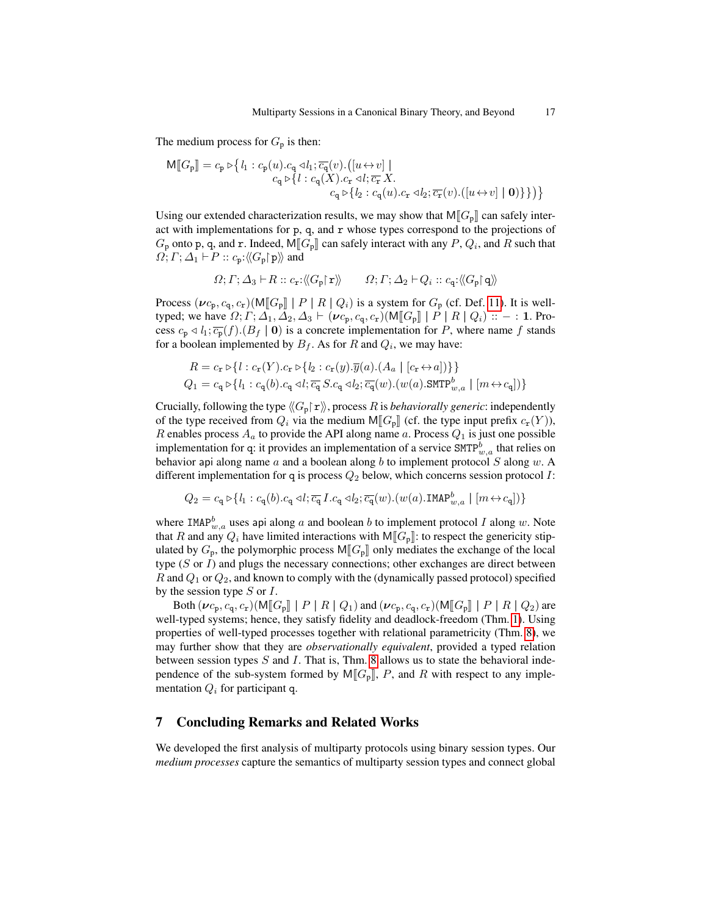The medium process for  $G_p$  is then:

$$
\begin{array}{l} \mathsf{M}[\![G_{\mathbf{p}}]\!]=c_{\mathbf{p}}\triangleright\!\left\{l_1:c_{\mathbf{p}}(u).c_{\mathbf{q}}\triangleleft l_1;\overline{c_{\mathbf{q}}}(v).([u\!\leftrightarrow\! v]\;|\right.\right.\\ \left.c_{\mathbf{q}}\triangleright\!\left\{l:c_{\mathbf{q}}(X).c_{\mathbf{r}}\triangleleft l;\overline{c_{\mathbf{r}}}X.\right.\right.\\ \left.c_{\mathbf{q}}\triangleright\!\left\{l_2:c_{\mathbf{q}}(u).c_{\mathbf{r}}\triangleleft l_2;\overline{c_{\mathbf{r}}}(v).([u\!\leftrightarrow\! v]\;|\;{\mathbf{0}})\right\}\right\}\right\}\end{array}
$$

Using our extended characterization results, we may show that  $M[[G_p]]$  can safely interact with implementations for p, q, and r whose types correspond to the projections of  $G_p$  onto p, q, and r. Indeed,  $M[[G_p]]$  can safely interact with any P,  $Q_i$ , and R such that  $Q_i$ ,  $\Gamma$ ,  $A_i \vdash P$ ,  $\alpha$ ,  $\alpha$  $\Omega; \Gamma; \Delta_1 \vdash P :: c_p: \langle\!\langle G_p \rangle\vert p \rangle\!\rangle$  and

$$
\varOmega; \varGamma; \varDelta_3 \vdash R :: c_\mathbf{r} : \langle\!\langle G_\mathbf{p} \!\!\upharpoonright \mathbf{r} \rangle\!\rangle \qquad \varOmega; \varGamma; \varDelta_2 \vdash Q_i :: c_\mathbf{q} : \langle\!\langle G_\mathbf{p} \!\!\upharpoonright \mathbf{q} \rangle\!\rangle
$$

Process  $(\nu c_p, c_q, c_r)$ (M $\llbracket G_p \rrbracket \mid P \mid R \mid Q_i$ ) is a system for  $G_p$  (cf. Def. 11). It is welltyped; we have  $\Omega; \Gamma; \Delta_1, \Delta_2, \Delta_3 \vdash (\nu c_p, c_q, c_r) (\text{M} [\![G_p]\!] \mid P \mid R \mid Q_i) :: - : 1$ . Process  $c_p \triangleleft l_1$ ;  $\overline{c_p}(f)$ . $(B_f | 0)$  is a concrete implementation for P, where name f stands for a boolean implemented by  $B_f$ . As for R and  $Q_i$ , we may have:

$$
R = c_{\mathbf{r}} \triangleright \{ l : c_{\mathbf{r}}(Y).c_{\mathbf{r}} \triangleright \{ l_2 : c_{\mathbf{r}}(y). \overline{y}(a).(A_a \mid [c_{\mathbf{r}} \leftrightarrow a]) \} \}
$$
  

$$
Q_1 = c_{\mathbf{q}} \triangleright \{ l_1 : c_{\mathbf{q}}(b).c_{\mathbf{q}} \triangleleft l; \overline{c_{\mathbf{q}}} S.c_{\mathbf{q}} \triangleleft l_2; \overline{c_{\mathbf{q}}}(w).(w(a). \text{SMTP}_{w,a}^{b} \mid [m \leftrightarrow c_{\mathbf{q}}]) \}
$$

Crucially, following the type  $\langle G_p | r \rangle$ , process R is *behaviorally generic*: independently of the type received from  $Q_i$  via the medium  $M[[G_p]]$  (cf. the type input prefix  $c_r(Y)$ ), R enables process  $A_a$  to provide the API along name a. Process  $Q_1$  is just one possible implementation for q: it provides an implementation of a service  $\texttt{SMTP}^b_{w,a}$  that relies on behavior api along name  $a$  and a boolean along  $b$  to implement protocol  $S$  along  $w$ . A different implementation for q is process  $Q_2$  below, which concerns session protocol *I*:

$$
Q_2 = c_{\mathbf{q}} \triangleright \{l_1 : c_{\mathbf{q}}(b).c_{\mathbf{q}} \triangleleft l; \overline{c_{\mathbf{q}}} \ I.c_{\mathbf{q}} \triangleleft l_2; \overline{c_{\mathbf{q}}}(w).(w(a).\texttt{IMAP}_{w,a}^b \ \vert \ [m \leftrightarrow c_{\mathbf{q}}])\}
$$

where IMAP $_{w,a}^b$  uses api along a and boolean b to implement protocol I along w. Note that R and any  $Q_i$  have limited interactions with  $M[[G_p]]$ : to respect the genericity stipulated by  $G_p$ , the polymorphic process  $M[[G_p]]$  only mediates the exchange of the local type  $(S \text{ or } I)$  and plugs the necessary connections; other exchanges are direct between  $R$  and  $Q_1$  or  $Q_2$ , and known to comply with the (dynamically passed protocol) specified by the session type  $S$  or  $I$ .

Both  $(\nu_{c_p}, c_q, c_r)$ (M $\llbracket G_p \rrbracket \mid P \mid R \mid Q_1$ ) and  $(\nu_{c_p}, c_q, c_r)$ (M $\llbracket G_p \rrbracket \mid P \mid R \mid Q_2$ ) are well-typed systems; hence, they satisfy fidelity and deadlock-freedom (Thm. 1). Using properties of well-typed processes together with relational parametricity (Thm. 8), we may further show that they are *observationally equivalent*, provided a typed relation between session types  $S$  and  $I$ . That is, Thm. 8 allows us to state the behavioral independence of the sub-system formed by  $M[[G_p]]$ , P, and R with respect to any implementation  $Q_i$  for participant q.

## 7 Concluding Remarks and Related Works

We developed the first analysis of multiparty protocols using binary session types. Our *medium processes* capture the semantics of multiparty session types and connect global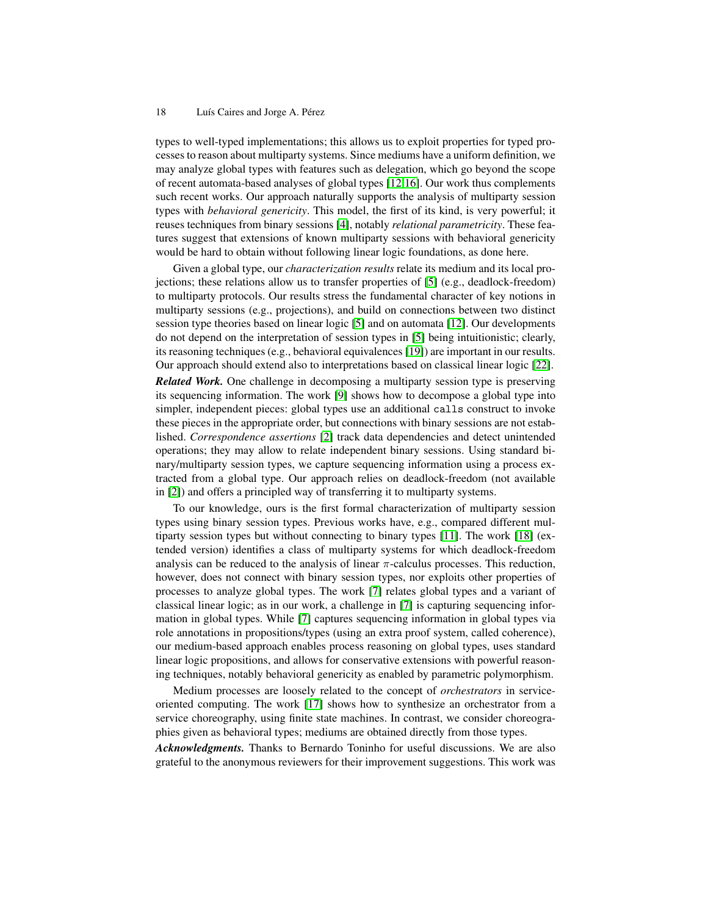types to well-typed implementations; this allows us to exploit properties for typed processes to reason about multiparty systems. Since mediums have a uniform definition, we may analyze global types with features such as delegation, which go beyond the scope of recent automata-based analyses of global types [12,16]. Our work thus complements such recent works. Our approach naturally supports the analysis of multiparty session types with *behavioral genericity*. This model, the first of its kind, is very powerful; it reuses techniques from binary sessions [4], notably *relational parametricity*. These features suggest that extensions of known multiparty sessions with behavioral genericity would be hard to obtain without following linear logic foundations, as done here.

Given a global type, our *characterization results* relate its medium and its local projections; these relations allow us to transfer properties of [5] (e.g., deadlock-freedom) to multiparty protocols. Our results stress the fundamental character of key notions in multiparty sessions (e.g., projections), and build on connections between two distinct session type theories based on linear logic [5] and on automata [12]. Our developments do not depend on the interpretation of session types in [5] being intuitionistic; clearly, its reasoning techniques (e.g., behavioral equivalences [19]) are important in our results. Our approach should extend also to interpretations based on classical linear logic [22].

*Related Work.* One challenge in decomposing a multiparty session type is preserving its sequencing information. The work [9] shows how to decompose a global type into simpler, independent pieces: global types use an additional calls construct to invoke these pieces in the appropriate order, but connections with binary sessions are not established. *Correspondence assertions* [2] track data dependencies and detect unintended operations; they may allow to relate independent binary sessions. Using standard binary/multiparty session types, we capture sequencing information using a process extracted from a global type. Our approach relies on deadlock-freedom (not available in [2]) and offers a principled way of transferring it to multiparty systems.

To our knowledge, ours is the first formal characterization of multiparty session types using binary session types. Previous works have, e.g., compared different multiparty session types but without connecting to binary types [11]. The work [18] (extended version) identifies a class of multiparty systems for which deadlock-freedom analysis can be reduced to the analysis of linear  $\pi$ -calculus processes. This reduction, however, does not connect with binary session types, nor exploits other properties of processes to analyze global types. The work [7] relates global types and a variant of classical linear logic; as in our work, a challenge in [7] is capturing sequencing information in global types. While [7] captures sequencing information in global types via role annotations in propositions/types (using an extra proof system, called coherence), our medium-based approach enables process reasoning on global types, uses standard linear logic propositions, and allows for conservative extensions with powerful reasoning techniques, notably behavioral genericity as enabled by parametric polymorphism.

Medium processes are loosely related to the concept of *orchestrators* in serviceoriented computing. The work [17] shows how to synthesize an orchestrator from a service choreography, using finite state machines. In contrast, we consider choreographies given as behavioral types; mediums are obtained directly from those types.

*Acknowledgments.* Thanks to Bernardo Toninho for useful discussions. We are also grateful to the anonymous reviewers for their improvement suggestions. This work was